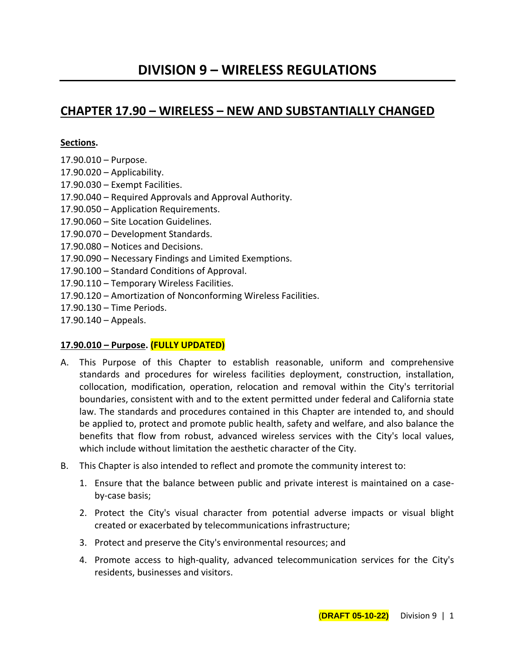# **CHAPTER 17.90 – WIRELESS – NEW AND SUBSTANTIALLY CHANGED**

## **Sections.**

- 17.90.010 Purpose.
- 17.90.020 Applicability.
- 17.90.030 Exempt Facilities.
- 17.90.040 Required Approvals and Approval Authority.
- 17.90.050 Application Requirements.
- 17.90.060 Site Location Guidelines.
- 17.90.070 Development Standards.
- 17.90.080 Notices and Decisions.
- 17.90.090 Necessary Findings and Limited Exemptions.
- 17.90.100 Standard Conditions of Approval.
- 17.90.110 Temporary Wireless Facilities.
- 17.90.120 Amortization of Nonconforming Wireless Facilities.
- 17.90.130 Time Periods.
- 17.90.140 Appeals.

## **17.90.010 – Purpose. (FULLY UPDATED)**

- A. This Purpose of this Chapter to establish reasonable, uniform and comprehensive standards and procedures for wireless facilities deployment, construction, installation, collocation, modification, operation, relocation and removal within the City's territorial boundaries, consistent with and to the extent permitted under federal and California state law. The standards and procedures contained in this Chapter are intended to, and should be applied to, protect and promote public health, safety and welfare, and also balance the benefits that flow from robust, advanced wireless services with the City's local values, which include without limitation the aesthetic character of the City.
- B. This Chapter is also intended to reflect and promote the community interest to:
	- 1. Ensure that the balance between public and private interest is maintained on a caseby-case basis;
	- 2. Protect the City's visual character from potential adverse impacts or visual blight created or exacerbated by telecommunications infrastructure;
	- 3. Protect and preserve the City's environmental resources; and
	- 4. Promote access to high-quality, advanced telecommunication services for the City's residents, businesses and visitors.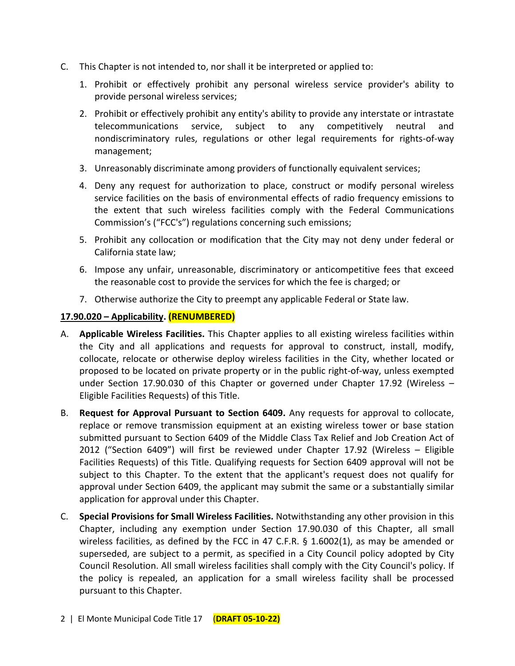- C. This Chapter is not intended to, nor shall it be interpreted or applied to:
	- 1. Prohibit or effectively prohibit any personal wireless service provider's ability to provide personal wireless services;
	- 2. Prohibit or effectively prohibit any entity's ability to provide any interstate or intrastate telecommunications service, subject to any competitively neutral and nondiscriminatory rules, regulations or other legal requirements for rights-of-way management;
	- 3. Unreasonably discriminate among providers of functionally equivalent services;
	- 4. Deny any request for authorization to place, construct or modify personal wireless service facilities on the basis of environmental effects of radio frequency emissions to the extent that such wireless facilities comply with the Federal Communications Commission's ("FCC's") regulations concerning such emissions;
	- 5. Prohibit any collocation or modification that the City may not deny under federal or California state law;
	- 6. Impose any unfair, unreasonable, discriminatory or anticompetitive fees that exceed the reasonable cost to provide the services for which the fee is charged; or
	- 7. Otherwise authorize the City to preempt any applicable Federal or State law.

## **17.90.020 – Applicability. (RENUMBERED)**

- A. **Applicable Wireless Facilities.** This Chapter applies to all existing wireless facilities within the City and all applications and requests for approval to construct, install, modify, collocate, relocate or otherwise deploy wireless facilities in the City, whether located or proposed to be located on private property or in the public right-of-way, unless exempted under Section 17.90.030 of this Chapter or governed under Chapter 17.92 (Wireless – Eligible Facilities Requests) of this Title.
- B. **Request for Approval Pursuant to Section 6409.** Any requests for approval to collocate, replace or remove transmission equipment at an existing wireless tower or base station submitted pursuant to Section 6409 of the Middle Class Tax Relief and Job Creation Act of 2012 ("Section 6409") will first be reviewed under Chapter 17.92 (Wireless – Eligible Facilities Requests) of this Title. Qualifying requests for Section 6409 approval will not be subject to this Chapter. To the extent that the applicant's request does not qualify for approval under Section 6409, the applicant may submit the same or a substantially similar application for approval under this Chapter.
- C. **Special Provisions for Small Wireless Facilities.** Notwithstanding any other provision in this Chapter, including any exemption under Section 17.90.030 of this Chapter, all small wireless facilities, as defined by the FCC in 47 C.F.R. § 1.6002(1), as may be amended or superseded, are subject to a permit, as specified in a City Council policy adopted by City Council Resolution. All small wireless facilities shall comply with the City Council's policy. If the policy is repealed, an application for a small wireless facility shall be processed pursuant to this Chapter.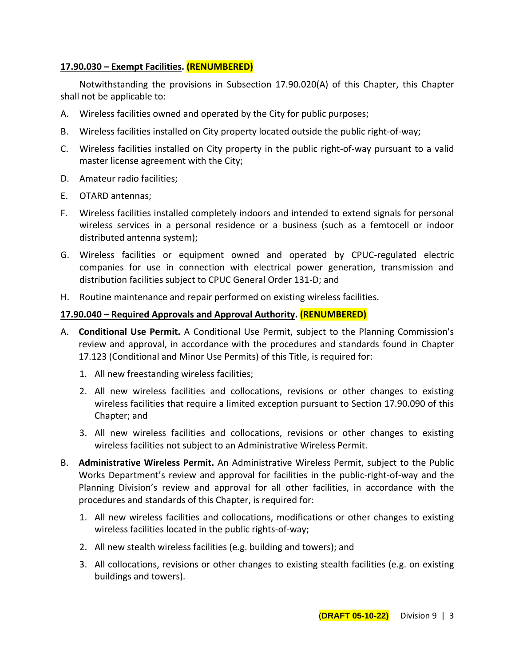## **17.90.030 – Exempt Facilities. (RENUMBERED)**

Notwithstanding the provisions in Subsection 17.90.020(A) of this Chapter, this Chapter shall not be applicable to:

- A. Wireless facilities owned and operated by the City for public purposes;
- B. Wireless facilities installed on City property located outside the public right-of-way;
- C. Wireless facilities installed on City property in the public right-of-way pursuant to a valid master license agreement with the City;
- D. Amateur radio facilities;
- E. OTARD antennas;
- F. Wireless facilities installed completely indoors and intended to extend signals for personal wireless services in a personal residence or a business (such as a femtocell or indoor distributed antenna system);
- G. Wireless facilities or equipment owned and operated by CPUC-regulated electric companies for use in connection with electrical power generation, transmission and distribution facilities subject to CPUC General Order 131-D; and
- H. Routine maintenance and repair performed on existing wireless facilities.

## **17.90.040 – Required Approvals and Approval Authority. (RENUMBERED)**

- A. **Conditional Use Permit.** A Conditional Use Permit, subject to the Planning Commission's review and approval, in accordance with the procedures and standards found in Chapter 17.123 (Conditional and Minor Use Permits) of this Title, is required for:
	- 1. All new freestanding wireless facilities;
	- 2. All new wireless facilities and collocations, revisions or other changes to existing wireless facilities that require a limited exception pursuant to Section 17.90.090 of this Chapter; and
	- 3. All new wireless facilities and collocations, revisions or other changes to existing wireless facilities not subject to an Administrative Wireless Permit.
- B. **Administrative Wireless Permit.** An Administrative Wireless Permit, subject to the Public Works Department's review and approval for facilities in the public-right-of-way and the Planning Division's review and approval for all other facilities, in accordance with the procedures and standards of this Chapter, is required for:
	- 1. All new wireless facilities and collocations, modifications or other changes to existing wireless facilities located in the public rights-of-way;
	- 2. All new stealth wireless facilities (e.g. building and towers); and
	- 3. All collocations, revisions or other changes to existing stealth facilities (e.g. on existing buildings and towers).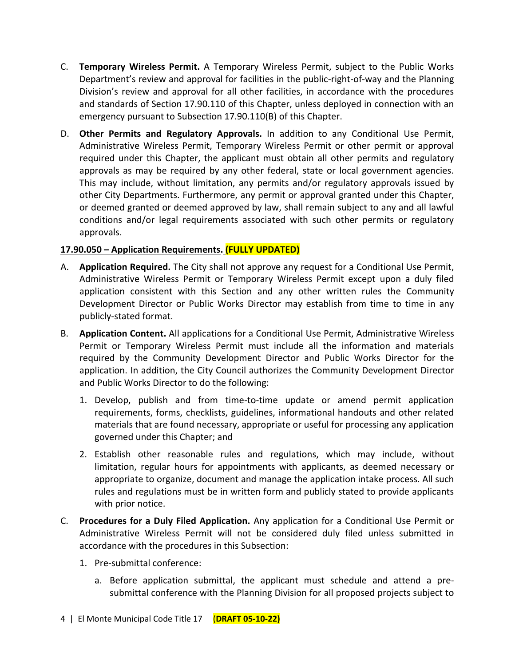- C. **Temporary Wireless Permit.** A Temporary Wireless Permit, subject to the Public Works Department's review and approval for facilities in the public-right-of-way and the Planning Division's review and approval for all other facilities, in accordance with the procedures and standards of Section 17.90.110 of this Chapter, unless deployed in connection with an emergency pursuant to Subsection 17.90.110(B) of this Chapter.
- D. **Other Permits and Regulatory Approvals.** In addition to any Conditional Use Permit, Administrative Wireless Permit, Temporary Wireless Permit or other permit or approval required under this Chapter, the applicant must obtain all other permits and regulatory approvals as may be required by any other federal, state or local government agencies. This may include, without limitation, any permits and/or regulatory approvals issued by other City Departments. Furthermore, any permit or approval granted under this Chapter, or deemed granted or deemed approved by law, shall remain subject to any and all lawful conditions and/or legal requirements associated with such other permits or regulatory approvals.

# **17.90.050 – Application Requirements. (FULLY UPDATED)**

- A. **Application Required.** The City shall not approve any request for a Conditional Use Permit, Administrative Wireless Permit or Temporary Wireless Permit except upon a duly filed application consistent with this Section and any other written rules the Community Development Director or Public Works Director may establish from time to time in any publicly-stated format.
- B. **Application Content.** All applications for a Conditional Use Permit, Administrative Wireless Permit or Temporary Wireless Permit must include all the information and materials required by the Community Development Director and Public Works Director for the application. In addition, the City Council authorizes the Community Development Director and Public Works Director to do the following:
	- 1. Develop, publish and from time-to-time update or amend permit application requirements, forms, checklists, guidelines, informational handouts and other related materials that are found necessary, appropriate or useful for processing any application governed under this Chapter; and
	- 2. Establish other reasonable rules and regulations, which may include, without limitation, regular hours for appointments with applicants, as deemed necessary or appropriate to organize, document and manage the application intake process. All such rules and regulations must be in written form and publicly stated to provide applicants with prior notice.
- C. **Procedures for a Duly Filed Application.** Any application for a Conditional Use Permit or Administrative Wireless Permit will not be considered duly filed unless submitted in accordance with the procedures in this Subsection:
	- 1. Pre-submittal conference:
		- a. Before application submittal, the applicant must schedule and attend a presubmittal conference with the Planning Division for all proposed projects subject to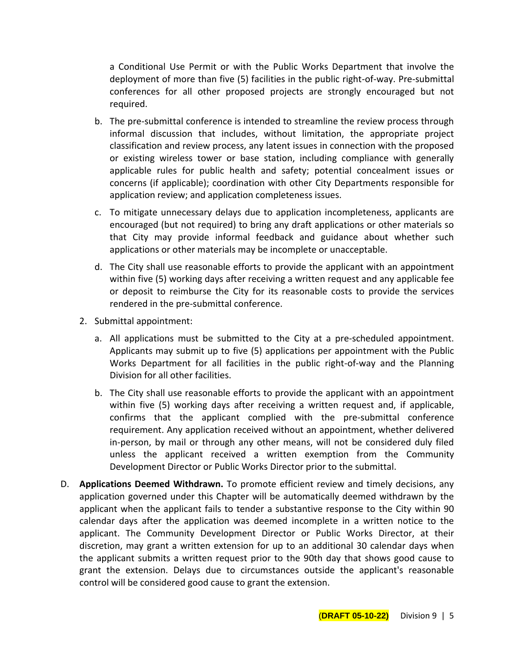a Conditional Use Permit or with the Public Works Department that involve the deployment of more than five (5) facilities in the public right-of-way. Pre-submittal conferences for all other proposed projects are strongly encouraged but not required.

- b. The pre-submittal conference is intended to streamline the review process through informal discussion that includes, without limitation, the appropriate project classification and review process, any latent issues in connection with the proposed or existing wireless tower or base station, including compliance with generally applicable rules for public health and safety; potential concealment issues or concerns (if applicable); coordination with other City Departments responsible for application review; and application completeness issues.
- c. To mitigate unnecessary delays due to application incompleteness, applicants are encouraged (but not required) to bring any draft applications or other materials so that City may provide informal feedback and guidance about whether such applications or other materials may be incomplete or unacceptable.
- d. The City shall use reasonable efforts to provide the applicant with an appointment within five (5) working days after receiving a written request and any applicable fee or deposit to reimburse the City for its reasonable costs to provide the services rendered in the pre-submittal conference.
- 2. Submittal appointment:
	- a. All applications must be submitted to the City at a pre-scheduled appointment. Applicants may submit up to five (5) applications per appointment with the Public Works Department for all facilities in the public right-of-way and the Planning Division for all other facilities.
	- b. The City shall use reasonable efforts to provide the applicant with an appointment within five (5) working days after receiving a written request and, if applicable, confirms that the applicant complied with the pre-submittal conference requirement. Any application received without an appointment, whether delivered in-person, by mail or through any other means, will not be considered duly filed unless the applicant received a written exemption from the Community Development Director or Public Works Director prior to the submittal.
- D. **Applications Deemed Withdrawn.** To promote efficient review and timely decisions, any application governed under this Chapter will be automatically deemed withdrawn by the applicant when the applicant fails to tender a substantive response to the City within 90 calendar days after the application was deemed incomplete in a written notice to the applicant. The Community Development Director or Public Works Director, at their discretion, may grant a written extension for up to an additional 30 calendar days when the applicant submits a written request prior to the 90th day that shows good cause to grant the extension. Delays due to circumstances outside the applicant's reasonable control will be considered good cause to grant the extension.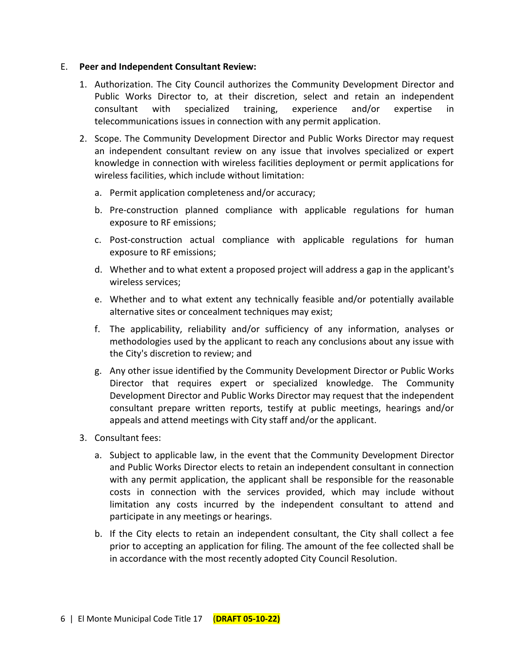#### E. **Peer and Independent Consultant Review:**

- 1. Authorization. The City Council authorizes the Community Development Director and Public Works Director to, at their discretion, select and retain an independent consultant with specialized training, experience and/or expertise in telecommunications issues in connection with any permit application.
- 2. Scope. The Community Development Director and Public Works Director may request an independent consultant review on any issue that involves specialized or expert knowledge in connection with wireless facilities deployment or permit applications for wireless facilities, which include without limitation:
	- a. Permit application completeness and/or accuracy;
	- b. Pre-construction planned compliance with applicable regulations for human exposure to RF emissions;
	- c. Post-construction actual compliance with applicable regulations for human exposure to RF emissions;
	- d. Whether and to what extent a proposed project will address a gap in the applicant's wireless services;
	- e. Whether and to what extent any technically feasible and/or potentially available alternative sites or concealment techniques may exist;
	- f. The applicability, reliability and/or sufficiency of any information, analyses or methodologies used by the applicant to reach any conclusions about any issue with the City's discretion to review; and
	- g. Any other issue identified by the Community Development Director or Public Works Director that requires expert or specialized knowledge. The Community Development Director and Public Works Director may request that the independent consultant prepare written reports, testify at public meetings, hearings and/or appeals and attend meetings with City staff and/or the applicant.
- 3. Consultant fees:
	- a. Subject to applicable law, in the event that the Community Development Director and Public Works Director elects to retain an independent consultant in connection with any permit application, the applicant shall be responsible for the reasonable costs in connection with the services provided, which may include without limitation any costs incurred by the independent consultant to attend and participate in any meetings or hearings.
	- b. If the City elects to retain an independent consultant, the City shall collect a fee prior to accepting an application for filing. The amount of the fee collected shall be in accordance with the most recently adopted City Council Resolution.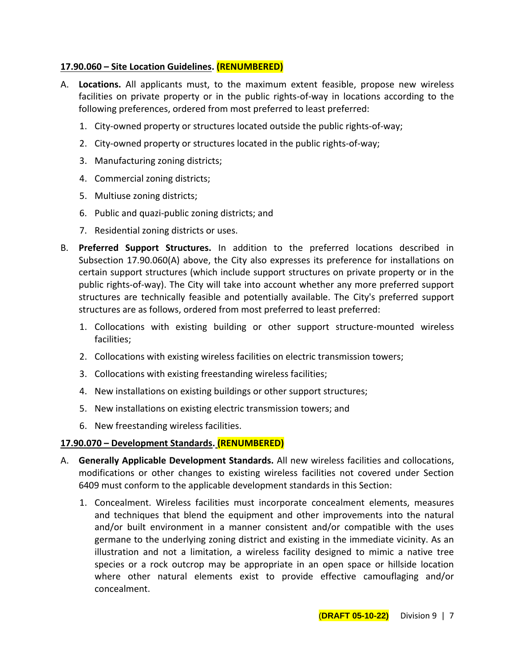## **17.90.060 – Site Location Guidelines. (RENUMBERED)**

- A. **Locations.** All applicants must, to the maximum extent feasible, propose new wireless facilities on private property or in the public rights-of-way in locations according to the following preferences, ordered from most preferred to least preferred:
	- 1. City-owned property or structures located outside the public rights-of-way;
	- 2. City-owned property or structures located in the public rights-of-way;
	- 3. Manufacturing zoning districts;
	- 4. Commercial zoning districts;
	- 5. Multiuse zoning districts;
	- 6. Public and quazi-public zoning districts; and
	- 7. Residential zoning districts or uses.
- B. **Preferred Support Structures.** In addition to the preferred locations described in Subsection 17.90.060(A) above, the City also expresses its preference for installations on certain support structures (which include support structures on private property or in the public rights-of-way). The City will take into account whether any more preferred support structures are technically feasible and potentially available. The City's preferred support structures are as follows, ordered from most preferred to least preferred:
	- 1. Collocations with existing building or other support structure-mounted wireless facilities;
	- 2. Collocations with existing wireless facilities on electric transmission towers;
	- 3. Collocations with existing freestanding wireless facilities;
	- 4. New installations on existing buildings or other support structures;
	- 5. New installations on existing electric transmission towers; and
	- 6. New freestanding wireless facilities.

## **17.90.070 – Development Standards. (RENUMBERED)**

- A. **Generally Applicable Development Standards.** All new wireless facilities and collocations, modifications or other changes to existing wireless facilities not covered under Section 6409 must conform to the applicable development standards in this Section:
	- 1. Concealment. Wireless facilities must incorporate concealment elements, measures and techniques that blend the equipment and other improvements into the natural and/or built environment in a manner consistent and/or compatible with the uses germane to the underlying zoning district and existing in the immediate vicinity. As an illustration and not a limitation, a wireless facility designed to mimic a native tree species or a rock outcrop may be appropriate in an open space or hillside location where other natural elements exist to provide effective camouflaging and/or concealment.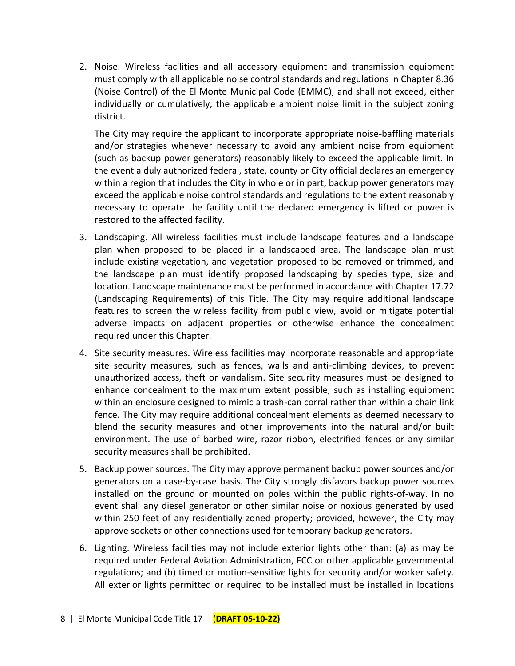2. Noise. Wireless facilities and all accessory equipment and transmission equipment must comply with all applicable noise control standards and regulations in Chapter 8.36 (Noise Control) of the El Monte Municipal Code (EMMC), and shall not exceed, either individually or cumulatively, the applicable ambient noise limit in the subject zoning district.

The City may require the applicant to incorporate appropriate noise-baffling materials and/or strategies whenever necessary to avoid any ambient noise from equipment (such as backup power generators) reasonably likely to exceed the applicable limit. In the event a duly authorized federal, state, county or City official declares an emergency within a region that includes the City in whole or in part, backup power generators may exceed the applicable noise control standards and regulations to the extent reasonably necessary to operate the facility until the declared emergency is lifted or power is restored to the affected facility.

- 3. Landscaping. All wireless facilities must include landscape features and a landscape plan when proposed to be placed in a landscaped area. The landscape plan must include existing vegetation, and vegetation proposed to be removed or trimmed, and the landscape plan must identify proposed landscaping by species type, size and location. Landscape maintenance must be performed in accordance with Chapter 17.72 (Landscaping Requirements) of this Title. The City may require additional landscape features to screen the wireless facility from public view, avoid or mitigate potential adverse impacts on adjacent properties or otherwise enhance the concealment required under this Chapter.
- 4. Site security measures. Wireless facilities may incorporate reasonable and appropriate site security measures, such as fences, walls and anti-climbing devices, to prevent unauthorized access, theft or vandalism. Site security measures must be designed to enhance concealment to the maximum extent possible, such as installing equipment within an enclosure designed to mimic a trash-can corral rather than within a chain link fence. The City may require additional concealment elements as deemed necessary to blend the security measures and other improvements into the natural and/or built environment. The use of barbed wire, razor ribbon, electrified fences or any similar security measures shall be prohibited.
- 5. Backup power sources. The City may approve permanent backup power sources and/or generators on a case-by-case basis. The City strongly disfavors backup power sources installed on the ground or mounted on poles within the public rights-of-way. In no event shall any diesel generator or other similar noise or noxious generated by used within 250 feet of any residentially zoned property; provided, however, the City may approve sockets or other connections used for temporary backup generators.
- 6. Lighting. Wireless facilities may not include exterior lights other than: (a) as may be required under Federal Aviation Administration, FCC or other applicable governmental regulations; and (b) timed or motion-sensitive lights for security and/or worker safety. All exterior lights permitted or required to be installed must be installed in locations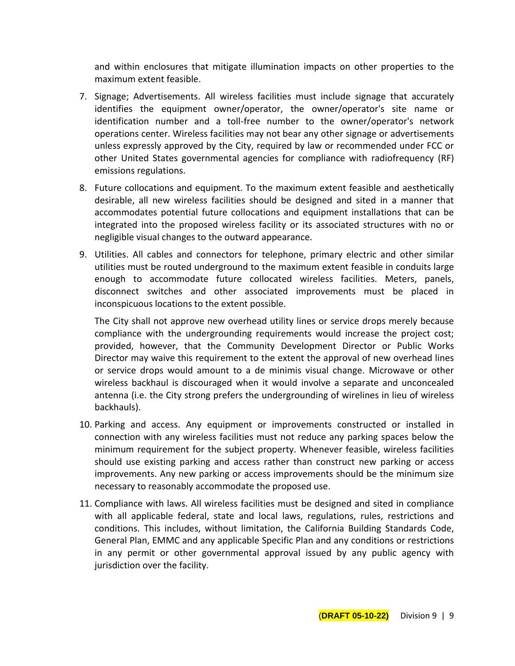and within enclosures that mitigate illumination impacts on other properties to the maximum extent feasible.

- 7. Signage; Advertisements. All wireless facilities must include signage that accurately identifies the equipment owner/operator, the owner/operator's site name or identification number and a toll-free number to the owner/operator's network operations center. Wireless facilities may not bear any other signage or advertisements unless expressly approved by the City, required by law or recommended under FCC or other United States governmental agencies for compliance with radiofrequency (RF) emissions regulations.
- 8. Future collocations and equipment. To the maximum extent feasible and aesthetically desirable, all new wireless facilities should be designed and sited in a manner that accommodates potential future collocations and equipment installations that can be integrated into the proposed wireless facility or its associated structures with no or negligible visual changes to the outward appearance.
- 9. Utilities. All cables and connectors for telephone, primary electric and other similar utilities must be routed underground to the maximum extent feasible in conduits large enough to accommodate future collocated wireless facilities. Meters, panels, disconnect switches and other associated improvements must be placed in inconspicuous locations to the extent possible.

The City shall not approve new overhead utility lines or service drops merely because compliance with the undergrounding requirements would increase the project cost; provided, however, that the Community Development Director or Public Works Director may waive this requirement to the extent the approval of new overhead lines or service drops would amount to a de minimis visual change. Microwave or other wireless backhaul is discouraged when it would involve a separate and unconcealed antenna (i.e. the City strong prefers the undergrounding of wirelines in lieu of wireless backhauls).

- 10. Parking and access. Any equipment or improvements constructed or installed in connection with any wireless facilities must not reduce any parking spaces below the minimum requirement for the subject property. Whenever feasible, wireless facilities should use existing parking and access rather than construct new parking or access improvements. Any new parking or access improvements should be the minimum size necessary to reasonably accommodate the proposed use.
- 11. Compliance with laws. All wireless facilities must be designed and sited in compliance with all applicable federal, state and local laws, regulations, rules, restrictions and conditions. This includes, without limitation, the California Building Standards Code, General Plan, EMMC and any applicable Specific Plan and any conditions or restrictions in any permit or other governmental approval issued by any public agency with jurisdiction over the facility.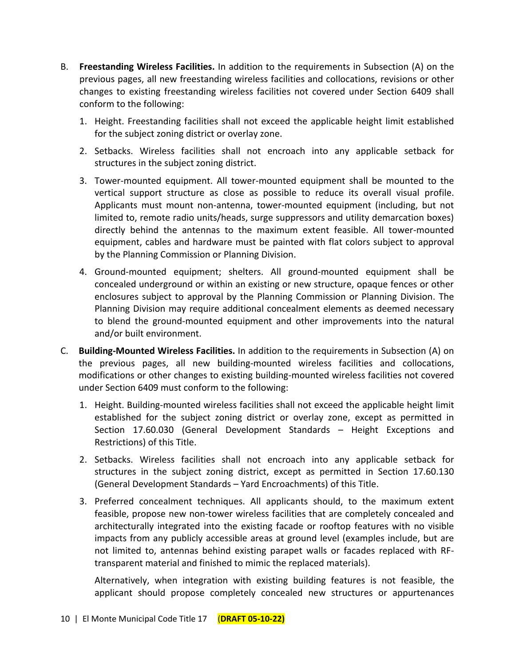- B. **Freestanding Wireless Facilities.** In addition to the requirements in Subsection (A) on the previous pages, all new freestanding wireless facilities and collocations, revisions or other changes to existing freestanding wireless facilities not covered under Section 6409 shall conform to the following:
	- 1. Height. Freestanding facilities shall not exceed the applicable height limit established for the subject zoning district or overlay zone.
	- 2. Setbacks. Wireless facilities shall not encroach into any applicable setback for structures in the subject zoning district.
	- 3. Tower-mounted equipment. All tower-mounted equipment shall be mounted to the vertical support structure as close as possible to reduce its overall visual profile. Applicants must mount non-antenna, tower-mounted equipment (including, but not limited to, remote radio units/heads, surge suppressors and utility demarcation boxes) directly behind the antennas to the maximum extent feasible. All tower-mounted equipment, cables and hardware must be painted with flat colors subject to approval by the Planning Commission or Planning Division.
	- 4. Ground-mounted equipment; shelters. All ground-mounted equipment shall be concealed underground or within an existing or new structure, opaque fences or other enclosures subject to approval by the Planning Commission or Planning Division. The Planning Division may require additional concealment elements as deemed necessary to blend the ground-mounted equipment and other improvements into the natural and/or built environment.
- C. **Building-Mounted Wireless Facilities.** In addition to the requirements in Subsection (A) on the previous pages, all new building-mounted wireless facilities and collocations, modifications or other changes to existing building-mounted wireless facilities not covered under Section 6409 must conform to the following:
	- 1. Height. Building-mounted wireless facilities shall not exceed the applicable height limit established for the subject zoning district or overlay zone, except as permitted in Section 17.60.030 (General Development Standards – Height Exceptions and Restrictions) of this Title.
	- 2. Setbacks. Wireless facilities shall not encroach into any applicable setback for structures in the subject zoning district, except as permitted in Section 17.60.130 (General Development Standards – Yard Encroachments) of this Title.
	- 3. Preferred concealment techniques. All applicants should, to the maximum extent feasible, propose new non-tower wireless facilities that are completely concealed and architecturally integrated into the existing facade or rooftop features with no visible impacts from any publicly accessible areas at ground level (examples include, but are not limited to, antennas behind existing parapet walls or facades replaced with RFtransparent material and finished to mimic the replaced materials).

Alternatively, when integration with existing building features is not feasible, the applicant should propose completely concealed new structures or appurtenances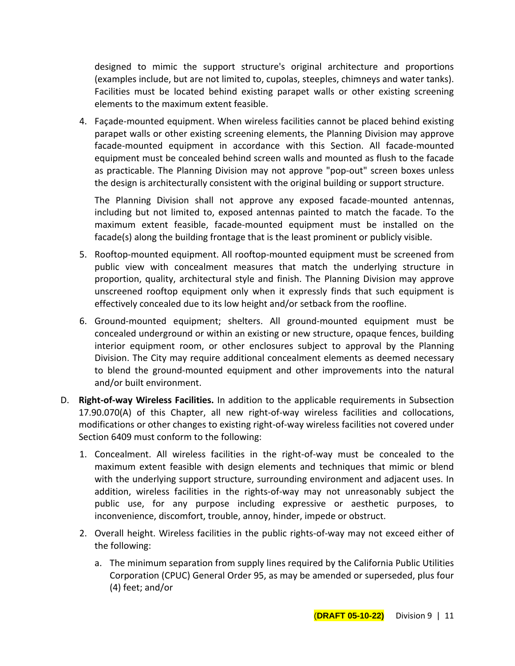designed to mimic the support structure's original architecture and proportions (examples include, but are not limited to, cupolas, steeples, chimneys and water tanks). Facilities must be located behind existing parapet walls or other existing screening elements to the maximum extent feasible.

4. Façade-mounted equipment. When wireless facilities cannot be placed behind existing parapet walls or other existing screening elements, the Planning Division may approve facade-mounted equipment in accordance with this Section. All facade-mounted equipment must be concealed behind screen walls and mounted as flush to the facade as practicable. The Planning Division may not approve "pop-out" screen boxes unless the design is architecturally consistent with the original building or support structure.

The Planning Division shall not approve any exposed facade-mounted antennas, including but not limited to, exposed antennas painted to match the facade. To the maximum extent feasible, facade-mounted equipment must be installed on the facade(s) along the building frontage that is the least prominent or publicly visible.

- 5. Rooftop-mounted equipment. All rooftop-mounted equipment must be screened from public view with concealment measures that match the underlying structure in proportion, quality, architectural style and finish. The Planning Division may approve unscreened rooftop equipment only when it expressly finds that such equipment is effectively concealed due to its low height and/or setback from the roofline.
- 6. Ground-mounted equipment; shelters. All ground-mounted equipment must be concealed underground or within an existing or new structure, opaque fences, building interior equipment room, or other enclosures subject to approval by the Planning Division. The City may require additional concealment elements as deemed necessary to blend the ground-mounted equipment and other improvements into the natural and/or built environment.
- D. **Right-of-way Wireless Facilities.** In addition to the applicable requirements in Subsection 17.90.070(A) of this Chapter, all new right-of-way wireless facilities and collocations, modifications or other changes to existing right-of-way wireless facilities not covered under Section 6409 must conform to the following:
	- 1. Concealment. All wireless facilities in the right-of-way must be concealed to the maximum extent feasible with design elements and techniques that mimic or blend with the underlying support structure, surrounding environment and adjacent uses. In addition, wireless facilities in the rights-of-way may not unreasonably subject the public use, for any purpose including expressive or aesthetic purposes, to inconvenience, discomfort, trouble, annoy, hinder, impede or obstruct.
	- 2. Overall height. Wireless facilities in the public rights-of-way may not exceed either of the following:
		- a. The minimum separation from supply lines required by the California Public Utilities Corporation (CPUC) General Order 95, as may be amended or superseded, plus four (4) feet; and/or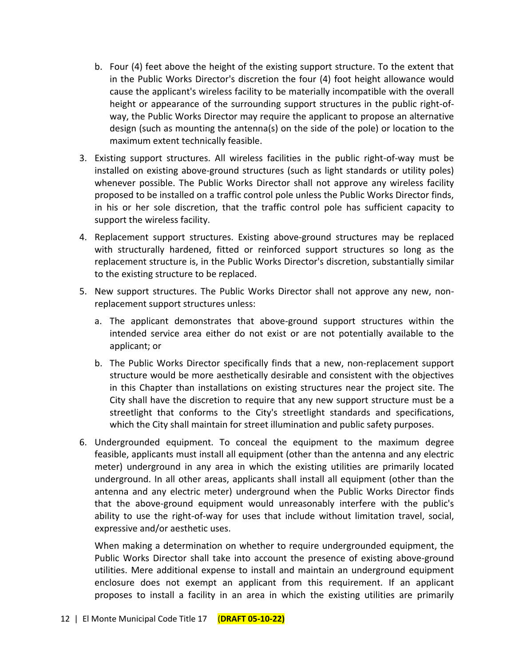- b. Four (4) feet above the height of the existing support structure. To the extent that in the Public Works Director's discretion the four (4) foot height allowance would cause the applicant's wireless facility to be materially incompatible with the overall height or appearance of the surrounding support structures in the public right-ofway, the Public Works Director may require the applicant to propose an alternative design (such as mounting the antenna(s) on the side of the pole) or location to the maximum extent technically feasible.
- 3. Existing support structures. All wireless facilities in the public right-of-way must be installed on existing above-ground structures (such as light standards or utility poles) whenever possible. The Public Works Director shall not approve any wireless facility proposed to be installed on a traffic control pole unless the Public Works Director finds, in his or her sole discretion, that the traffic control pole has sufficient capacity to support the wireless facility.
- 4. Replacement support structures. Existing above-ground structures may be replaced with structurally hardened, fitted or reinforced support structures so long as the replacement structure is, in the Public Works Director's discretion, substantially similar to the existing structure to be replaced.
- 5. New support structures. The Public Works Director shall not approve any new, nonreplacement support structures unless:
	- a. The applicant demonstrates that above-ground support structures within the intended service area either do not exist or are not potentially available to the applicant; or
	- b. The Public Works Director specifically finds that a new, non-replacement support structure would be more aesthetically desirable and consistent with the objectives in this Chapter than installations on existing structures near the project site. The City shall have the discretion to require that any new support structure must be a streetlight that conforms to the City's streetlight standards and specifications, which the City shall maintain for street illumination and public safety purposes.
- 6. Undergrounded equipment. To conceal the equipment to the maximum degree feasible, applicants must install all equipment (other than the antenna and any electric meter) underground in any area in which the existing utilities are primarily located underground. In all other areas, applicants shall install all equipment (other than the antenna and any electric meter) underground when the Public Works Director finds that the above-ground equipment would unreasonably interfere with the public's ability to use the right-of-way for uses that include without limitation travel, social, expressive and/or aesthetic uses.

When making a determination on whether to require undergrounded equipment, the Public Works Director shall take into account the presence of existing above-ground utilities. Mere additional expense to install and maintain an underground equipment enclosure does not exempt an applicant from this requirement. If an applicant proposes to install a facility in an area in which the existing utilities are primarily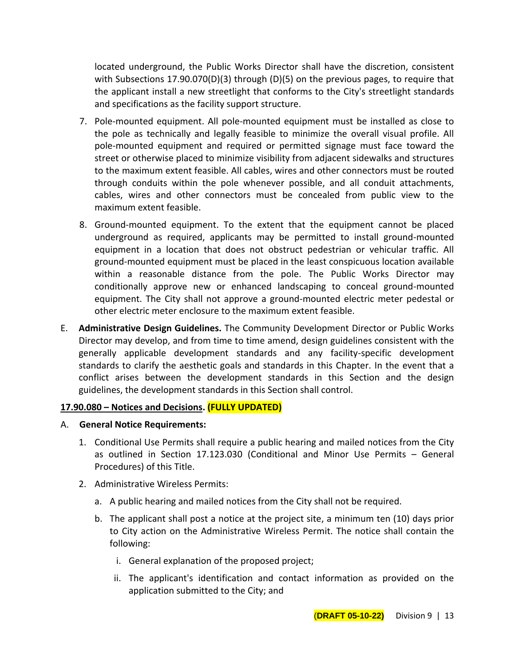located underground, the Public Works Director shall have the discretion, consistent with Subsections 17.90.070(D)(3) through (D)(5) on the previous pages, to require that the applicant install a new streetlight that conforms to the City's streetlight standards and specifications as the facility support structure.

- 7. Pole-mounted equipment. All pole-mounted equipment must be installed as close to the pole as technically and legally feasible to minimize the overall visual profile. All pole-mounted equipment and required or permitted signage must face toward the street or otherwise placed to minimize visibility from adjacent sidewalks and structures to the maximum extent feasible. All cables, wires and other connectors must be routed through conduits within the pole whenever possible, and all conduit attachments, cables, wires and other connectors must be concealed from public view to the maximum extent feasible.
- 8. Ground-mounted equipment. To the extent that the equipment cannot be placed underground as required, applicants may be permitted to install ground-mounted equipment in a location that does not obstruct pedestrian or vehicular traffic. All ground-mounted equipment must be placed in the least conspicuous location available within a reasonable distance from the pole. The Public Works Director may conditionally approve new or enhanced landscaping to conceal ground-mounted equipment. The City shall not approve a ground-mounted electric meter pedestal or other electric meter enclosure to the maximum extent feasible.
- E. **Administrative Design Guidelines.** The Community Development Director or Public Works Director may develop, and from time to time amend, design guidelines consistent with the generally applicable development standards and any facility-specific development standards to clarify the aesthetic goals and standards in this Chapter. In the event that a conflict arises between the development standards in this Section and the design guidelines, the development standards in this Section shall control.

## **17.90.080 – Notices and Decisions. (FULLY UPDATED)**

- A. **General Notice Requirements:**
	- 1. Conditional Use Permits shall require a public hearing and mailed notices from the City as outlined in Section 17.123.030 (Conditional and Minor Use Permits – General Procedures) of this Title.
	- 2. Administrative Wireless Permits:
		- a. A public hearing and mailed notices from the City shall not be required.
		- b. The applicant shall post a notice at the project site, a minimum ten (10) days prior to City action on the Administrative Wireless Permit. The notice shall contain the following:
			- i. General explanation of the proposed project;
			- ii. The applicant's identification and contact information as provided on the application submitted to the City; and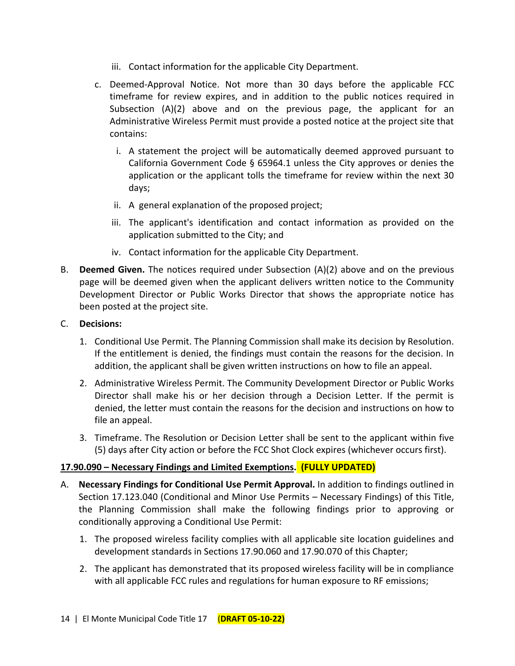- iii. Contact information for the applicable City Department.
- c. Deemed-Approval Notice. Not more than 30 days before the applicable FCC timeframe for review expires, and in addition to the public notices required in Subsection (A)(2) above and on the previous page, the applicant for an Administrative Wireless Permit must provide a posted notice at the project site that contains:
	- i. A statement the project will be automatically deemed approved pursuant to California Government Code § 65964.1 unless the City approves or denies the application or the applicant tolls the timeframe for review within the next 30 days;
	- ii. A general explanation of the proposed project;
	- iii. The applicant's identification and contact information as provided on the application submitted to the City; and
	- iv. Contact information for the applicable City Department.
- B. **Deemed Given.** The notices required under Subsection (A)(2) above and on the previous page will be deemed given when the applicant delivers written notice to the Community Development Director or Public Works Director that shows the appropriate notice has been posted at the project site.

## C. **Decisions:**

- 1. Conditional Use Permit. The Planning Commission shall make its decision by Resolution. If the entitlement is denied, the findings must contain the reasons for the decision. In addition, the applicant shall be given written instructions on how to file an appeal.
- 2. Administrative Wireless Permit. The Community Development Director or Public Works Director shall make his or her decision through a Decision Letter. If the permit is denied, the letter must contain the reasons for the decision and instructions on how to file an appeal.
- 3. Timeframe. The Resolution or Decision Letter shall be sent to the applicant within five (5) days after City action or before the FCC Shot Clock expires (whichever occurs first).

# **17.90.090 – Necessary Findings and Limited Exemptions. (FULLY UPDATED)**

- A. **Necessary Findings for Conditional Use Permit Approval.** In addition to findings outlined in Section 17.123.040 (Conditional and Minor Use Permits – Necessary Findings) of this Title, the Planning Commission shall make the following findings prior to approving or conditionally approving a Conditional Use Permit:
	- 1. The proposed wireless facility complies with all applicable site location guidelines and development standards in Sections 17.90.060 and 17.90.070 of this Chapter;
	- 2. The applicant has demonstrated that its proposed wireless facility will be in compliance with all applicable FCC rules and regulations for human exposure to RF emissions;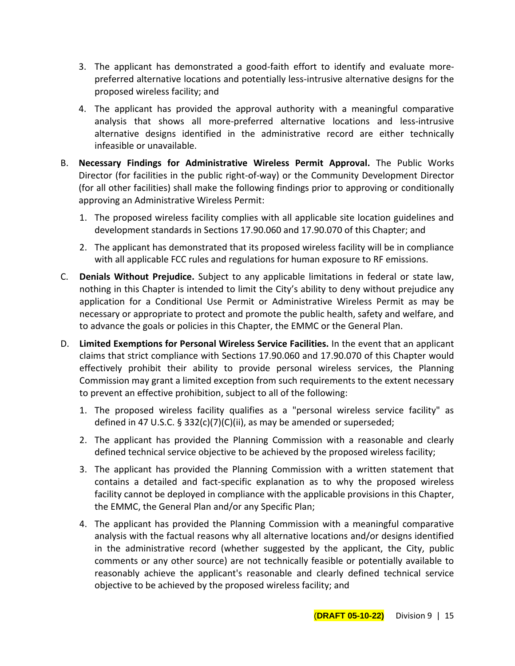- 3. The applicant has demonstrated a good-faith effort to identify and evaluate morepreferred alternative locations and potentially less-intrusive alternative designs for the proposed wireless facility; and
- 4. The applicant has provided the approval authority with a meaningful comparative analysis that shows all more-preferred alternative locations and less-intrusive alternative designs identified in the administrative record are either technically infeasible or unavailable.
- B. **Necessary Findings for Administrative Wireless Permit Approval.** The Public Works Director (for facilities in the public right-of-way) or the Community Development Director (for all other facilities) shall make the following findings prior to approving or conditionally approving an Administrative Wireless Permit:
	- 1. The proposed wireless facility complies with all applicable site location guidelines and development standards in Sections 17.90.060 and 17.90.070 of this Chapter; and
	- 2. The applicant has demonstrated that its proposed wireless facility will be in compliance with all applicable FCC rules and regulations for human exposure to RF emissions.
- C. **Denials Without Prejudice.** Subject to any applicable limitations in federal or state law, nothing in this Chapter is intended to limit the City's ability to deny without prejudice any application for a Conditional Use Permit or Administrative Wireless Permit as may be necessary or appropriate to protect and promote the public health, safety and welfare, and to advance the goals or policies in this Chapter, the EMMC or the General Plan.
- D. **Limited Exemptions for Personal Wireless Service Facilities.** In the event that an applicant claims that strict compliance with Sections 17.90.060 and 17.90.070 of this Chapter would effectively prohibit their ability to provide personal wireless services, the Planning Commission may grant a limited exception from such requirements to the extent necessary to prevent an effective prohibition, subject to all of the following:
	- 1. The proposed wireless facility qualifies as a "personal wireless service facility" as defined in 47 U.S.C. § 332(c)(7)(C)(ii), as may be amended or superseded;
	- 2. The applicant has provided the Planning Commission with a reasonable and clearly defined technical service objective to be achieved by the proposed wireless facility;
	- 3. The applicant has provided the Planning Commission with a written statement that contains a detailed and fact-specific explanation as to why the proposed wireless facility cannot be deployed in compliance with the applicable provisions in this Chapter, the EMMC, the General Plan and/or any Specific Plan;
	- 4. The applicant has provided the Planning Commission with a meaningful comparative analysis with the factual reasons why all alternative locations and/or designs identified in the administrative record (whether suggested by the applicant, the City, public comments or any other source) are not technically feasible or potentially available to reasonably achieve the applicant's reasonable and clearly defined technical service objective to be achieved by the proposed wireless facility; and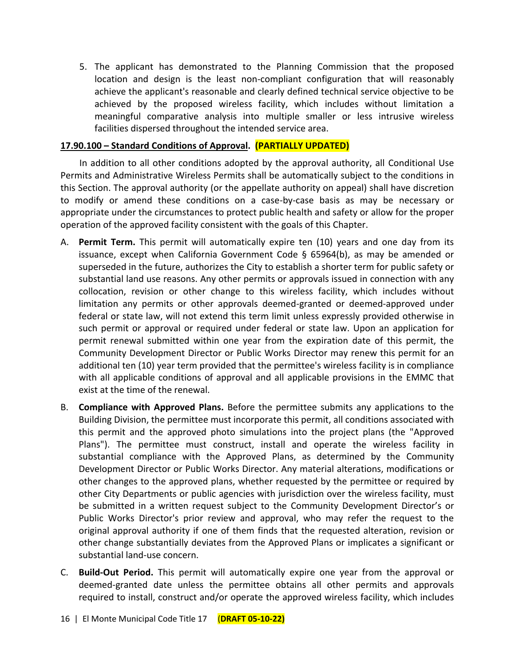5. The applicant has demonstrated to the Planning Commission that the proposed location and design is the least non-compliant configuration that will reasonably achieve the applicant's reasonable and clearly defined technical service objective to be achieved by the proposed wireless facility, which includes without limitation a meaningful comparative analysis into multiple smaller or less intrusive wireless facilities dispersed throughout the intended service area.

## **17.90.100 – Standard Conditions of Approval. (PARTIALLY UPDATED)**

In addition to all other conditions adopted by the approval authority, all Conditional Use Permits and Administrative Wireless Permits shall be automatically subject to the conditions in this Section. The approval authority (or the appellate authority on appeal) shall have discretion to modify or amend these conditions on a case-by-case basis as may be necessary or appropriate under the circumstances to protect public health and safety or allow for the proper operation of the approved facility consistent with the goals of this Chapter.

- A. **Permit Term.** This permit will automatically expire ten (10) years and one day from its issuance, except when California Government Code  $\S$  65964(b), as may be amended or superseded in the future, authorizes the City to establish a shorter term for public safety or substantial land use reasons. Any other permits or approvals issued in connection with any collocation, revision or other change to this wireless facility, which includes without limitation any permits or other approvals deemed-granted or deemed-approved under federal or state law, will not extend this term limit unless expressly provided otherwise in such permit or approval or required under federal or state law. Upon an application for permit renewal submitted within one year from the expiration date of this permit, the Community Development Director or Public Works Director may renew this permit for an additional ten (10) year term provided that the permittee's wireless facility is in compliance with all applicable conditions of approval and all applicable provisions in the EMMC that exist at the time of the renewal.
- B. **Compliance with Approved Plans.** Before the permittee submits any applications to the Building Division, the permittee must incorporate this permit, all conditions associated with this permit and the approved photo simulations into the project plans (the "Approved Plans"). The permittee must construct, install and operate the wireless facility in substantial compliance with the Approved Plans, as determined by the Community Development Director or Public Works Director. Any material alterations, modifications or other changes to the approved plans, whether requested by the permittee or required by other City Departments or public agencies with jurisdiction over the wireless facility, must be submitted in a written request subject to the Community Development Director's or Public Works Director's prior review and approval, who may refer the request to the original approval authority if one of them finds that the requested alteration, revision or other change substantially deviates from the Approved Plans or implicates a significant or substantial land-use concern.
- C. **Build-Out Period.** This permit will automatically expire one year from the approval or deemed-granted date unless the permittee obtains all other permits and approvals required to install, construct and/or operate the approved wireless facility, which includes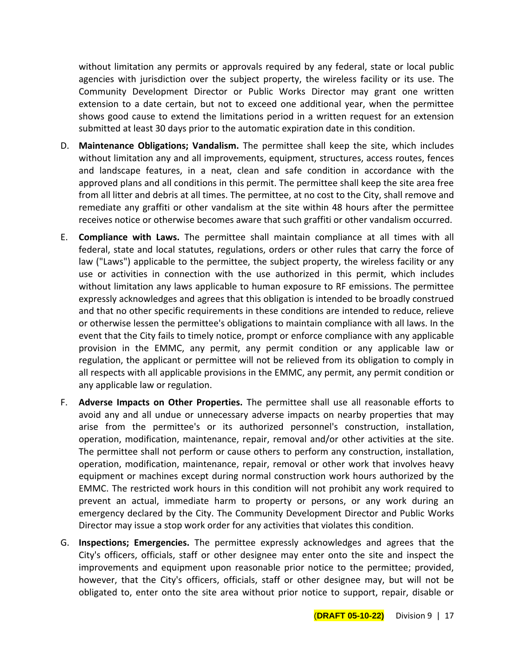without limitation any permits or approvals required by any federal, state or local public agencies with jurisdiction over the subject property, the wireless facility or its use. The Community Development Director or Public Works Director may grant one written extension to a date certain, but not to exceed one additional year, when the permittee shows good cause to extend the limitations period in a written request for an extension submitted at least 30 days prior to the automatic expiration date in this condition.

- D. **Maintenance Obligations; Vandalism.** The permittee shall keep the site, which includes without limitation any and all improvements, equipment, structures, access routes, fences and landscape features, in a neat, clean and safe condition in accordance with the approved plans and all conditions in this permit. The permittee shall keep the site area free from all litter and debris at all times. The permittee, at no cost to the City, shall remove and remediate any graffiti or other vandalism at the site within 48 hours after the permittee receives notice or otherwise becomes aware that such graffiti or other vandalism occurred.
- E. **Compliance with Laws.** The permittee shall maintain compliance at all times with all federal, state and local statutes, regulations, orders or other rules that carry the force of law ("Laws") applicable to the permittee, the subject property, the wireless facility or any use or activities in connection with the use authorized in this permit, which includes without limitation any laws applicable to human exposure to RF emissions. The permittee expressly acknowledges and agrees that this obligation is intended to be broadly construed and that no other specific requirements in these conditions are intended to reduce, relieve or otherwise lessen the permittee's obligations to maintain compliance with all laws. In the event that the City fails to timely notice, prompt or enforce compliance with any applicable provision in the EMMC, any permit, any permit condition or any applicable law or regulation, the applicant or permittee will not be relieved from its obligation to comply in all respects with all applicable provisions in the EMMC, any permit, any permit condition or any applicable law or regulation.
- F. **Adverse Impacts on Other Properties.** The permittee shall use all reasonable efforts to avoid any and all undue or unnecessary adverse impacts on nearby properties that may arise from the permittee's or its authorized personnel's construction, installation, operation, modification, maintenance, repair, removal and/or other activities at the site. The permittee shall not perform or cause others to perform any construction, installation, operation, modification, maintenance, repair, removal or other work that involves heavy equipment or machines except during normal construction work hours authorized by the EMMC. The restricted work hours in this condition will not prohibit any work required to prevent an actual, immediate harm to property or persons, or any work during an emergency declared by the City. The Community Development Director and Public Works Director may issue a stop work order for any activities that violates this condition.
- G. **Inspections; Emergencies.** The permittee expressly acknowledges and agrees that the City's officers, officials, staff or other designee may enter onto the site and inspect the improvements and equipment upon reasonable prior notice to the permittee; provided, however, that the City's officers, officials, staff or other designee may, but will not be obligated to, enter onto the site area without prior notice to support, repair, disable or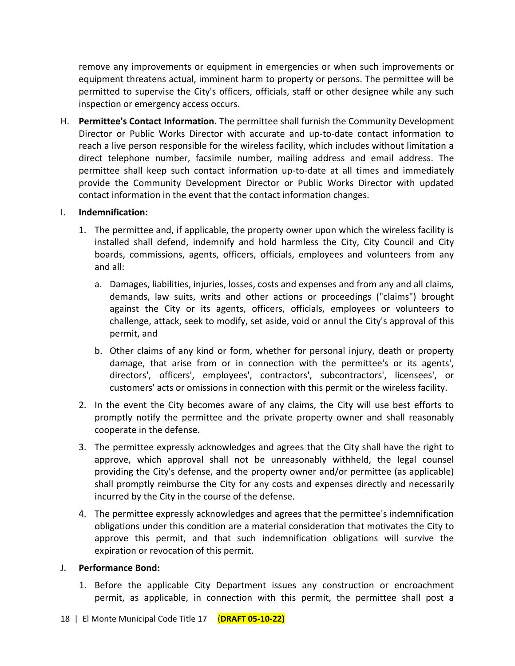remove any improvements or equipment in emergencies or when such improvements or equipment threatens actual, imminent harm to property or persons. The permittee will be permitted to supervise the City's officers, officials, staff or other designee while any such inspection or emergency access occurs.

H. **Permittee's Contact Information.** The permittee shall furnish the Community Development Director or Public Works Director with accurate and up-to-date contact information to reach a live person responsible for the wireless facility, which includes without limitation a direct telephone number, facsimile number, mailing address and email address. The permittee shall keep such contact information up-to-date at all times and immediately provide the Community Development Director or Public Works Director with updated contact information in the event that the contact information changes.

## I. **Indemnification:**

- 1. The permittee and, if applicable, the property owner upon which the wireless facility is installed shall defend, indemnify and hold harmless the City, City Council and City boards, commissions, agents, officers, officials, employees and volunteers from any and all:
	- a. Damages, liabilities, injuries, losses, costs and expenses and from any and all claims, demands, law suits, writs and other actions or proceedings ("claims") brought against the City or its agents, officers, officials, employees or volunteers to challenge, attack, seek to modify, set aside, void or annul the City's approval of this permit, and
	- b. Other claims of any kind or form, whether for personal injury, death or property damage, that arise from or in connection with the permittee's or its agents', directors', officers', employees', contractors', subcontractors', licensees', or customers' acts or omissions in connection with this permit or the wireless facility.
- 2. In the event the City becomes aware of any claims, the City will use best efforts to promptly notify the permittee and the private property owner and shall reasonably cooperate in the defense.
- 3. The permittee expressly acknowledges and agrees that the City shall have the right to approve, which approval shall not be unreasonably withheld, the legal counsel providing the City's defense, and the property owner and/or permittee (as applicable) shall promptly reimburse the City for any costs and expenses directly and necessarily incurred by the City in the course of the defense.
- 4. The permittee expressly acknowledges and agrees that the permittee's indemnification obligations under this condition are a material consideration that motivates the City to approve this permit, and that such indemnification obligations will survive the expiration or revocation of this permit.

## J. **Performance Bond:**

1. Before the applicable City Department issues any construction or encroachment permit, as applicable, in connection with this permit, the permittee shall post a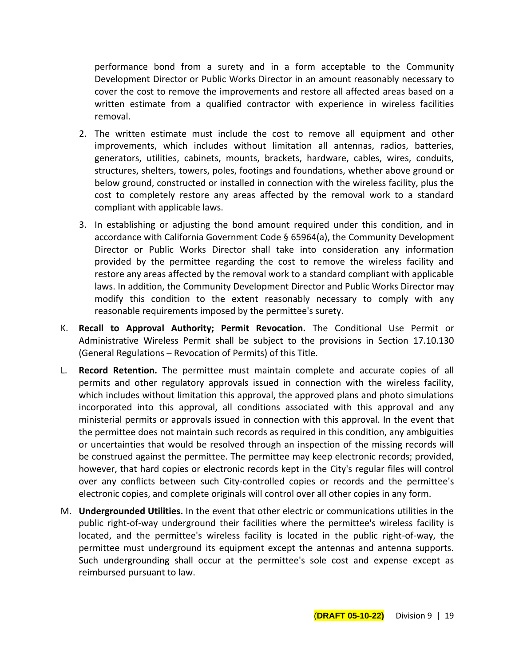performance bond from a surety and in a form acceptable to the Community Development Director or Public Works Director in an amount reasonably necessary to cover the cost to remove the improvements and restore all affected areas based on a written estimate from a qualified contractor with experience in wireless facilities removal.

- 2. The written estimate must include the cost to remove all equipment and other improvements, which includes without limitation all antennas, radios, batteries, generators, utilities, cabinets, mounts, brackets, hardware, cables, wires, conduits, structures, shelters, towers, poles, footings and foundations, whether above ground or below ground, constructed or installed in connection with the wireless facility, plus the cost to completely restore any areas affected by the removal work to a standard compliant with applicable laws.
- 3. In establishing or adjusting the bond amount required under this condition, and in accordance with California Government Code § 65964(a), the Community Development Director or Public Works Director shall take into consideration any information provided by the permittee regarding the cost to remove the wireless facility and restore any areas affected by the removal work to a standard compliant with applicable laws. In addition, the Community Development Director and Public Works Director may modify this condition to the extent reasonably necessary to comply with any reasonable requirements imposed by the permittee's surety.
- K. **Recall to Approval Authority; Permit Revocation.** The Conditional Use Permit or Administrative Wireless Permit shall be subject to the provisions in Section 17.10.130 (General Regulations – Revocation of Permits) of this Title.
- L. **Record Retention.** The permittee must maintain complete and accurate copies of all permits and other regulatory approvals issued in connection with the wireless facility, which includes without limitation this approval, the approved plans and photo simulations incorporated into this approval, all conditions associated with this approval and any ministerial permits or approvals issued in connection with this approval. In the event that the permittee does not maintain such records as required in this condition, any ambiguities or uncertainties that would be resolved through an inspection of the missing records will be construed against the permittee. The permittee may keep electronic records; provided, however, that hard copies or electronic records kept in the City's regular files will control over any conflicts between such City-controlled copies or records and the permittee's electronic copies, and complete originals will control over all other copies in any form.
- M. **Undergrounded Utilities.** In the event that other electric or communications utilities in the public right-of-way underground their facilities where the permittee's wireless facility is located, and the permittee's wireless facility is located in the public right-of-way, the permittee must underground its equipment except the antennas and antenna supports. Such undergrounding shall occur at the permittee's sole cost and expense except as reimbursed pursuant to law.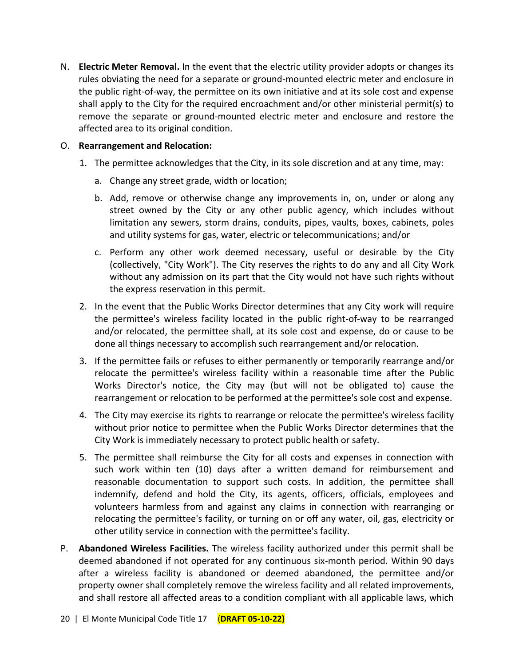N. **Electric Meter Removal.** In the event that the electric utility provider adopts or changes its rules obviating the need for a separate or ground-mounted electric meter and enclosure in the public right-of-way, the permittee on its own initiative and at its sole cost and expense shall apply to the City for the required encroachment and/or other ministerial permit(s) to remove the separate or ground-mounted electric meter and enclosure and restore the affected area to its original condition.

## O. **Rearrangement and Relocation:**

- 1. The permittee acknowledges that the City, in its sole discretion and at any time, may:
	- a. Change any street grade, width or location;
	- b. Add, remove or otherwise change any improvements in, on, under or along any street owned by the City or any other public agency, which includes without limitation any sewers, storm drains, conduits, pipes, vaults, boxes, cabinets, poles and utility systems for gas, water, electric or telecommunications; and/or
	- c. Perform any other work deemed necessary, useful or desirable by the City (collectively, "City Work"). The City reserves the rights to do any and all City Work without any admission on its part that the City would not have such rights without the express reservation in this permit.
- 2. In the event that the Public Works Director determines that any City work will require the permittee's wireless facility located in the public right-of-way to be rearranged and/or relocated, the permittee shall, at its sole cost and expense, do or cause to be done all things necessary to accomplish such rearrangement and/or relocation.
- 3. If the permittee fails or refuses to either permanently or temporarily rearrange and/or relocate the permittee's wireless facility within a reasonable time after the Public Works Director's notice, the City may (but will not be obligated to) cause the rearrangement or relocation to be performed at the permittee's sole cost and expense.
- 4. The City may exercise its rights to rearrange or relocate the permittee's wireless facility without prior notice to permittee when the Public Works Director determines that the City Work is immediately necessary to protect public health or safety.
- 5. The permittee shall reimburse the City for all costs and expenses in connection with such work within ten (10) days after a written demand for reimbursement and reasonable documentation to support such costs. In addition, the permittee shall indemnify, defend and hold the City, its agents, officers, officials, employees and volunteers harmless from and against any claims in connection with rearranging or relocating the permittee's facility, or turning on or off any water, oil, gas, electricity or other utility service in connection with the permittee's facility.
- P. **Abandoned Wireless Facilities.** The wireless facility authorized under this permit shall be deemed abandoned if not operated for any continuous six-month period. Within 90 days after a wireless facility is abandoned or deemed abandoned, the permittee and/or property owner shall completely remove the wireless facility and all related improvements, and shall restore all affected areas to a condition compliant with all applicable laws, which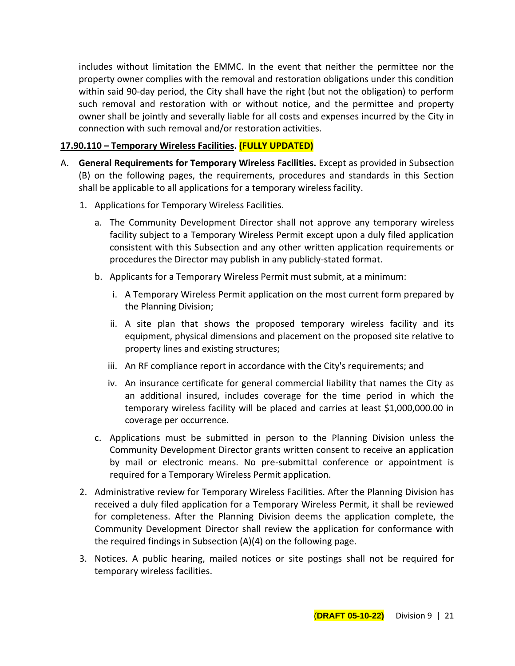includes without limitation the EMMC. In the event that neither the permittee nor the property owner complies with the removal and restoration obligations under this condition within said 90-day period, the City shall have the right (but not the obligation) to perform such removal and restoration with or without notice, and the permittee and property owner shall be jointly and severally liable for all costs and expenses incurred by the City in connection with such removal and/or restoration activities.

## **17.90.110 – Temporary Wireless Facilities. (FULLY UPDATED)**

- A. **General Requirements for Temporary Wireless Facilities.** Except as provided in Subsection (B) on the following pages, the requirements, procedures and standards in this Section shall be applicable to all applications for a temporary wireless facility.
	- 1. Applications for Temporary Wireless Facilities.
		- a. The Community Development Director shall not approve any temporary wireless facility subject to a Temporary Wireless Permit except upon a duly filed application consistent with this Subsection and any other written application requirements or procedures the Director may publish in any publicly-stated format.
		- b. Applicants for a Temporary Wireless Permit must submit, at a minimum:
			- i. A Temporary Wireless Permit application on the most current form prepared by the Planning Division;
			- ii. A site plan that shows the proposed temporary wireless facility and its equipment, physical dimensions and placement on the proposed site relative to property lines and existing structures;
			- iii. An RF compliance report in accordance with the City's requirements; and
			- iv. An insurance certificate for general commercial liability that names the City as an additional insured, includes coverage for the time period in which the temporary wireless facility will be placed and carries at least \$1,000,000.00 in coverage per occurrence.
		- c. Applications must be submitted in person to the Planning Division unless the Community Development Director grants written consent to receive an application by mail or electronic means. No pre-submittal conference or appointment is required for a Temporary Wireless Permit application.
	- 2. Administrative review for Temporary Wireless Facilities. After the Planning Division has received a duly filed application for a Temporary Wireless Permit, it shall be reviewed for completeness. After the Planning Division deems the application complete, the Community Development Director shall review the application for conformance with the required findings in Subsection (A)(4) on the following page.
	- 3. Notices. A public hearing, mailed notices or site postings shall not be required for temporary wireless facilities.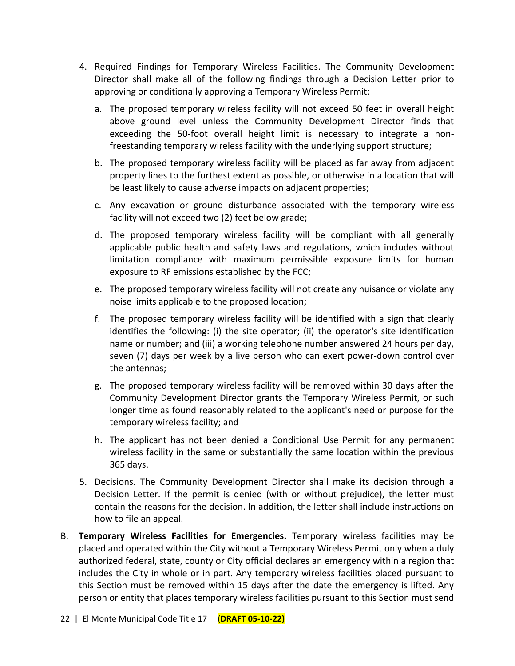- 4. Required Findings for Temporary Wireless Facilities. The Community Development Director shall make all of the following findings through a Decision Letter prior to approving or conditionally approving a Temporary Wireless Permit:
	- a. The proposed temporary wireless facility will not exceed 50 feet in overall height above ground level unless the Community Development Director finds that exceeding the 50-foot overall height limit is necessary to integrate a nonfreestanding temporary wireless facility with the underlying support structure;
	- b. The proposed temporary wireless facility will be placed as far away from adjacent property lines to the furthest extent as possible, or otherwise in a location that will be least likely to cause adverse impacts on adjacent properties;
	- c. Any excavation or ground disturbance associated with the temporary wireless facility will not exceed two (2) feet below grade;
	- d. The proposed temporary wireless facility will be compliant with all generally applicable public health and safety laws and regulations, which includes without limitation compliance with maximum permissible exposure limits for human exposure to RF emissions established by the FCC;
	- e. The proposed temporary wireless facility will not create any nuisance or violate any noise limits applicable to the proposed location;
	- f. The proposed temporary wireless facility will be identified with a sign that clearly identifies the following: (i) the site operator; (ii) the operator's site identification name or number; and (iii) a working telephone number answered 24 hours per day, seven (7) days per week by a live person who can exert power-down control over the antennas;
	- g. The proposed temporary wireless facility will be removed within 30 days after the Community Development Director grants the Temporary Wireless Permit, or such longer time as found reasonably related to the applicant's need or purpose for the temporary wireless facility; and
	- h. The applicant has not been denied a Conditional Use Permit for any permanent wireless facility in the same or substantially the same location within the previous 365 days.
- 5. Decisions. The Community Development Director shall make its decision through a Decision Letter. If the permit is denied (with or without prejudice), the letter must contain the reasons for the decision. In addition, the letter shall include instructions on how to file an appeal.
- B. **Temporary Wireless Facilities for Emergencies.** Temporary wireless facilities may be placed and operated within the City without a Temporary Wireless Permit only when a duly authorized federal, state, county or City official declares an emergency within a region that includes the City in whole or in part. Any temporary wireless facilities placed pursuant to this Section must be removed within 15 days after the date the emergency is lifted. Any person or entity that places temporary wireless facilities pursuant to this Section must send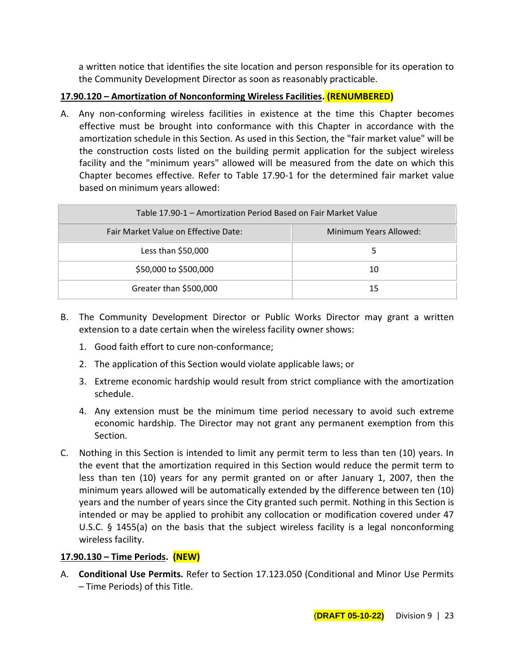a written notice that identifies the site location and person responsible for its operation to the Community Development Director as soon as reasonably practicable.

# **17.90.120 – Amortization of Nonconforming Wireless Facilities. (RENUMBERED)**

A. Any non-conforming wireless facilities in existence at the time this Chapter becomes effective must be brought into conformance with this Chapter in accordance with the amortization schedule in this Section. As used in this Section, the "fair market value" will be the construction costs listed on the building permit application for the subject wireless facility and the "minimum years" allowed will be measured from the date on which this Chapter becomes effective. Refer to Table 17.90-1 for the determined fair market value based on minimum years allowed:

| Table 17.90-1 – Amortization Period Based on Fair Market Value |                        |
|----------------------------------------------------------------|------------------------|
| Fair Market Value on Effective Date:                           | Minimum Years Allowed: |
| Less than \$50,000                                             |                        |
| \$50,000 to \$500,000                                          | 10                     |
| Greater than \$500,000                                         | 15                     |

- B. The Community Development Director or Public Works Director may grant a written extension to a date certain when the wireless facility owner shows:
	- 1. Good faith effort to cure non-conformance;
	- 2. The application of this Section would violate applicable laws; or
	- 3. Extreme economic hardship would result from strict compliance with the amortization schedule.
	- 4. Any extension must be the minimum time period necessary to avoid such extreme economic hardship. The Director may not grant any permanent exemption from this Section.
- C. Nothing in this Section is intended to limit any permit term to less than ten (10) years. In the event that the amortization required in this Section would reduce the permit term to less than ten (10) years for any permit granted on or after January 1, 2007, then the minimum years allowed will be automatically extended by the difference between ten (10) years and the number of years since the City granted such permit. Nothing in this Section is intended or may be applied to prohibit any collocation or modification covered under 47 U.S.C. § 1455(a) on the basis that the subject wireless facility is a legal nonconforming wireless facility.

# **17.90.130 – Time Periods. (NEW)**

A. **Conditional Use Permits.** Refer to Section 17.123.050 (Conditional and Minor Use Permits – Time Periods) of this Title.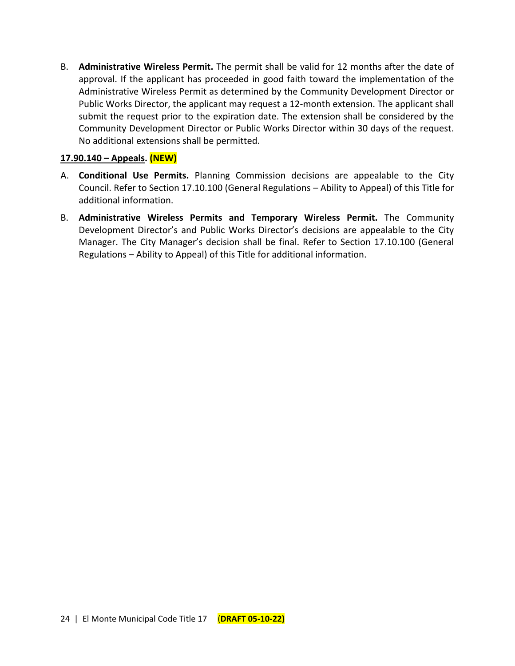B. **Administrative Wireless Permit.** The permit shall be valid for 12 months after the date of approval. If the applicant has proceeded in good faith toward the implementation of the Administrative Wireless Permit as determined by the Community Development Director or Public Works Director, the applicant may request a 12-month extension. The applicant shall submit the request prior to the expiration date. The extension shall be considered by the Community Development Director or Public Works Director within 30 days of the request. No additional extensions shall be permitted.

## **17.90.140 – Appeals. (NEW)**

- A. **Conditional Use Permits.** Planning Commission decisions are appealable to the City Council. Refer to Section 17.10.100 (General Regulations – Ability to Appeal) of this Title for additional information.
- B. **Administrative Wireless Permits and Temporary Wireless Permit.** The Community Development Director's and Public Works Director's decisions are appealable to the City Manager. The City Manager's decision shall be final. Refer to Section 17.10.100 (General Regulations – Ability to Appeal) of this Title for additional information.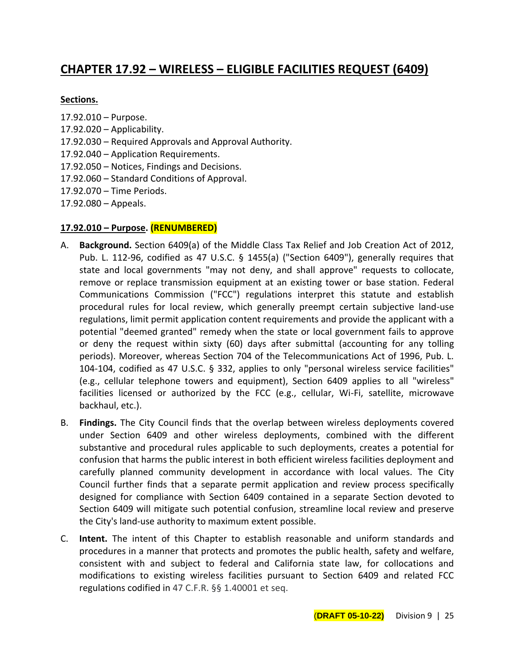# **CHAPTER 17.92 – WIRELESS – ELIGIBLE FACILITIES REQUEST (6409)**

## **Sections.**

- 17.92.010 Purpose.
- $17.92.020 -$  Applicability.
- 17.92.030 Required Approvals and Approval Authority.
- 17.92.040 Application Requirements.
- 17.92.050 Notices, Findings and Decisions.
- 17.92.060 Standard Conditions of Approval.
- 17.92.070 Time Periods.
- 17.92.080 Appeals.

## **17.92.010 – Purpose. (RENUMBERED)**

- A. **Background.** Section 6409(a) of the Middle Class Tax Relief and Job Creation Act of 2012, Pub. L. 112-96, codified as 47 U.S.C. § 1455(a) ("Section 6409"), generally requires that state and local governments "may not deny, and shall approve" requests to collocate, remove or replace transmission equipment at an existing tower or base station. Federal Communications Commission ("FCC") regulations interpret this statute and establish procedural rules for local review, which generally preempt certain subjective land-use regulations, limit permit application content requirements and provide the applicant with a potential "deemed granted" remedy when the state or local government fails to approve or deny the request within sixty (60) days after submittal (accounting for any tolling periods). Moreover, whereas Section 704 of the Telecommunications Act of 1996, Pub. L. 104-104, codified as 47 U.S.C. § 332, applies to only "personal wireless service facilities" (e.g., cellular telephone towers and equipment), Section 6409 applies to all "wireless" facilities licensed or authorized by the FCC (e.g., cellular, Wi-Fi, satellite, microwave backhaul, etc.).
- B. **Findings.** The City Council finds that the overlap between wireless deployments covered under Section 6409 and other wireless deployments, combined with the different substantive and procedural rules applicable to such deployments, creates a potential for confusion that harms the public interest in both efficient wireless facilities deployment and carefully planned community development in accordance with local values. The City Council further finds that a separate permit application and review process specifically designed for compliance with Section 6409 contained in a separate Section devoted to Section 6409 will mitigate such potential confusion, streamline local review and preserve the City's land-use authority to maximum extent possible.
- C. **Intent.** The intent of this Chapter to establish reasonable and uniform standards and procedures in a manner that protects and promotes the public health, safety and welfare, consistent with and subject to federal and California state law, for collocations and modifications to existing wireless facilities pursuant to Section 6409 and related FCC regulations codified in 47 C.F.R. §§ 1.40001 et seq.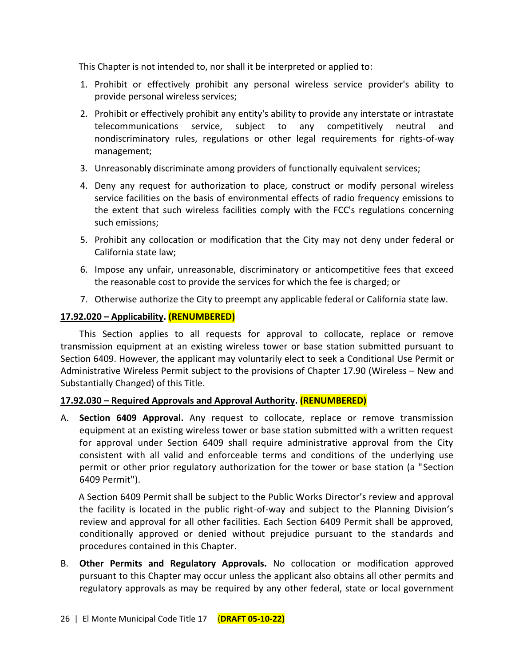This Chapter is not intended to, nor shall it be interpreted or applied to:

- 1. Prohibit or effectively prohibit any personal wireless service provider's ability to provide personal wireless services;
- 2. Prohibit or effectively prohibit any entity's ability to provide any interstate or intrastate telecommunications service, subject to any competitively neutral and nondiscriminatory rules, regulations or other legal requirements for rights-of-way management;
- 3. Unreasonably discriminate among providers of functionally equivalent services;
- 4. Deny any request for authorization to place, construct or modify personal wireless service facilities on the basis of environmental effects of radio frequency emissions to the extent that such wireless facilities comply with the FCC's regulations concerning such emissions;
- 5. Prohibit any collocation or modification that the City may not deny under federal or California state law;
- 6. Impose any unfair, unreasonable, discriminatory or anticompetitive fees that exceed the reasonable cost to provide the services for which the fee is charged; or
- 7. Otherwise authorize the City to preempt any applicable federal or California state law.

# **17.92.020 – Applicability. (RENUMBERED)**

This Section applies to all requests for approval to collocate, replace or remove transmission equipment at an existing wireless tower or base station submitted pursuant to Section 6409. However, the applicant may voluntarily elect to seek a Conditional Use Permit or Administrative Wireless Permit subject to the provisions of Chapter 17.90 (Wireless – New and Substantially Changed) of this Title.

# **17.92.030 – Required Approvals and Approval Authority. (RENUMBERED)**

A. **Section 6409 Approval.** Any request to collocate, replace or remove transmission equipment at an existing wireless tower or base station submitted with a written request for approval under Section 6409 shall require administrative approval from the City consistent with all valid and enforceable terms and conditions of the underlying use permit or other prior regulatory authorization for the tower or base station (a "Section 6409 Permit").

A Section 6409 Permit shall be subject to the Public Works Director's review and approval the facility is located in the public right-of-way and subject to the Planning Division's review and approval for all other facilities. Each Section 6409 Permit shall be approved, conditionally approved or denied without prejudice pursuant to the standards and procedures contained in this Chapter.

B. **Other Permits and Regulatory Approvals.** No collocation or modification approved pursuant to this Chapter may occur unless the applicant also obtains all other permits and regulatory approvals as may be required by any other federal, state or local government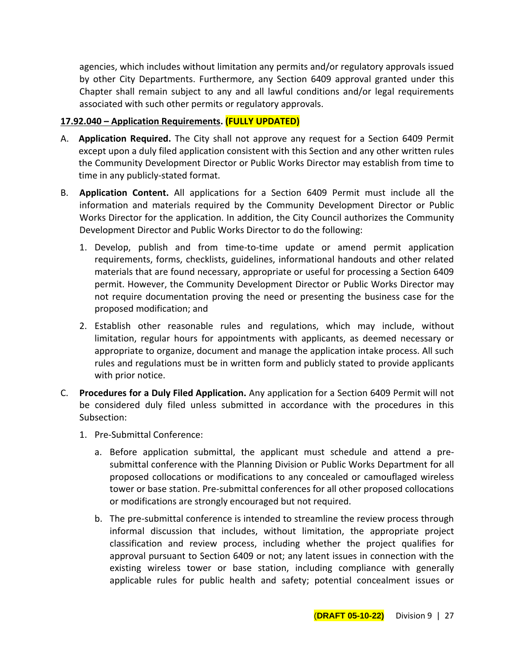agencies, which includes without limitation any permits and/or regulatory approvals issued by other City Departments. Furthermore, any Section 6409 approval granted under this Chapter shall remain subject to any and all lawful conditions and/or legal requirements associated with such other permits or regulatory approvals.

## **17.92.040 – Application Requirements. (FULLY UPDATED)**

- A. **Application Required.** The City shall not approve any request for a Section 6409 Permit except upon a duly filed application consistent with this Section and any other written rules the Community Development Director or Public Works Director may establish from time to time in any publicly-stated format.
- B. **Application Content.** All applications for a Section 6409 Permit must include all the information and materials required by the Community Development Director or Public Works Director for the application. In addition, the City Council authorizes the Community Development Director and Public Works Director to do the following:
	- 1. Develop, publish and from time-to-time update or amend permit application requirements, forms, checklists, guidelines, informational handouts and other related materials that are found necessary, appropriate or useful for processing a Section 6409 permit. However, the Community Development Director or Public Works Director may not require documentation proving the need or presenting the business case for the proposed modification; and
	- 2. Establish other reasonable rules and regulations, which may include, without limitation, regular hours for appointments with applicants, as deemed necessary or appropriate to organize, document and manage the application intake process. All such rules and regulations must be in written form and publicly stated to provide applicants with prior notice.
- C. **Procedures for a Duly Filed Application.** Any application for a Section 6409 Permit will not be considered duly filed unless submitted in accordance with the procedures in this Subsection:
	- 1. Pre-Submittal Conference:
		- a. Before application submittal, the applicant must schedule and attend a presubmittal conference with the Planning Division or Public Works Department for all proposed collocations or modifications to any concealed or camouflaged wireless tower or base station. Pre-submittal conferences for all other proposed collocations or modifications are strongly encouraged but not required.
		- b. The pre-submittal conference is intended to streamline the review process through informal discussion that includes, without limitation, the appropriate project classification and review process, including whether the project qualifies for approval pursuant to Section 6409 or not; any latent issues in connection with the existing wireless tower or base station, including compliance with generally applicable rules for public health and safety; potential concealment issues or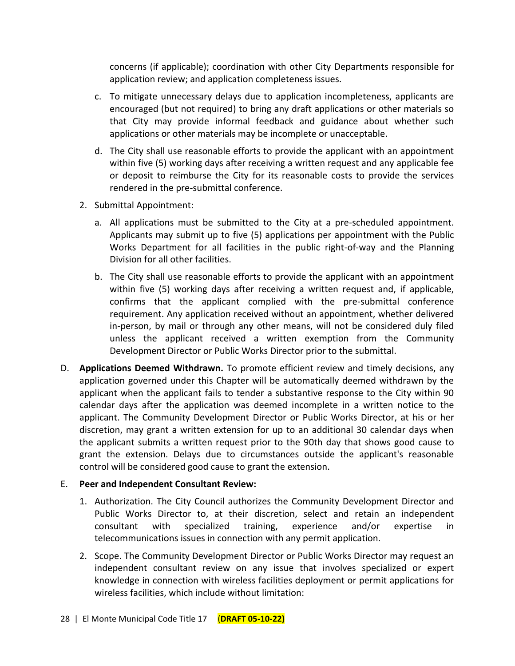concerns (if applicable); coordination with other City Departments responsible for application review; and application completeness issues.

- c. To mitigate unnecessary delays due to application incompleteness, applicants are encouraged (but not required) to bring any draft applications or other materials so that City may provide informal feedback and guidance about whether such applications or other materials may be incomplete or unacceptable.
- d. The City shall use reasonable efforts to provide the applicant with an appointment within five (5) working days after receiving a written request and any applicable fee or deposit to reimburse the City for its reasonable costs to provide the services rendered in the pre-submittal conference.
- 2. Submittal Appointment:
	- a. All applications must be submitted to the City at a pre-scheduled appointment. Applicants may submit up to five (5) applications per appointment with the Public Works Department for all facilities in the public right-of-way and the Planning Division for all other facilities.
	- b. The City shall use reasonable efforts to provide the applicant with an appointment within five (5) working days after receiving a written request and, if applicable, confirms that the applicant complied with the pre-submittal conference requirement. Any application received without an appointment, whether delivered in-person, by mail or through any other means, will not be considered duly filed unless the applicant received a written exemption from the Community Development Director or Public Works Director prior to the submittal.
- D. **Applications Deemed Withdrawn.** To promote efficient review and timely decisions, any application governed under this Chapter will be automatically deemed withdrawn by the applicant when the applicant fails to tender a substantive response to the City within 90 calendar days after the application was deemed incomplete in a written notice to the applicant. The Community Development Director or Public Works Director, at his or her discretion, may grant a written extension for up to an additional 30 calendar days when the applicant submits a written request prior to the 90th day that shows good cause to grant the extension. Delays due to circumstances outside the applicant's reasonable control will be considered good cause to grant the extension.

# E. **Peer and Independent Consultant Review:**

- 1. Authorization. The City Council authorizes the Community Development Director and Public Works Director to, at their discretion, select and retain an independent consultant with specialized training, experience and/or expertise in telecommunications issues in connection with any permit application.
- 2. Scope. The Community Development Director or Public Works Director may request an independent consultant review on any issue that involves specialized or expert knowledge in connection with wireless facilities deployment or permit applications for wireless facilities, which include without limitation: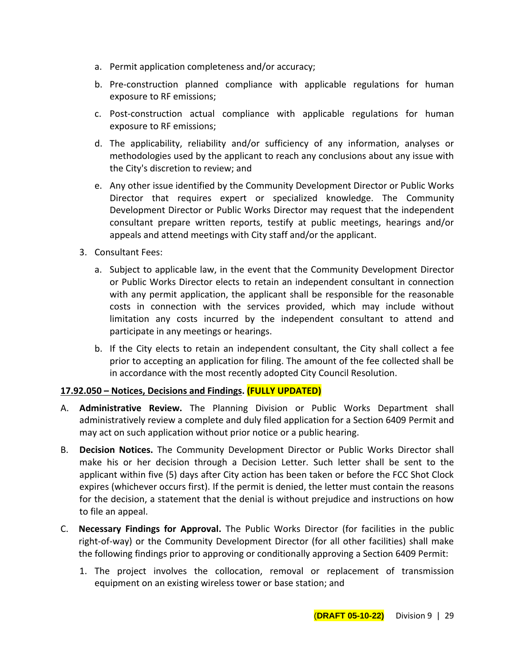- a. Permit application completeness and/or accuracy;
- b. Pre-construction planned compliance with applicable regulations for human exposure to RF emissions;
- c. Post-construction actual compliance with applicable regulations for human exposure to RF emissions;
- d. The applicability, reliability and/or sufficiency of any information, analyses or methodologies used by the applicant to reach any conclusions about any issue with the City's discretion to review; and
- e. Any other issue identified by the Community Development Director or Public Works Director that requires expert or specialized knowledge. The Community Development Director or Public Works Director may request that the independent consultant prepare written reports, testify at public meetings, hearings and/or appeals and attend meetings with City staff and/or the applicant.
- 3. Consultant Fees:
	- a. Subject to applicable law, in the event that the Community Development Director or Public Works Director elects to retain an independent consultant in connection with any permit application, the applicant shall be responsible for the reasonable costs in connection with the services provided, which may include without limitation any costs incurred by the independent consultant to attend and participate in any meetings or hearings.
	- b. If the City elects to retain an independent consultant, the City shall collect a fee prior to accepting an application for filing. The amount of the fee collected shall be in accordance with the most recently adopted City Council Resolution.

# **17.92.050 – Notices, Decisions and Findings. (FULLY UPDATED)**

- A. **Administrative Review.** The Planning Division or Public Works Department shall administratively review a complete and duly filed application for a Section 6409 Permit and may act on such application without prior notice or a public hearing.
- B. **Decision Notices.** The Community Development Director or Public Works Director shall make his or her decision through a Decision Letter. Such letter shall be sent to the applicant within five (5) days after City action has been taken or before the FCC Shot Clock expires (whichever occurs first). If the permit is denied, the letter must contain the reasons for the decision, a statement that the denial is without prejudice and instructions on how to file an appeal.
- C. **Necessary Findings for Approval.** The Public Works Director (for facilities in the public right-of-way) or the Community Development Director (for all other facilities) shall make the following findings prior to approving or conditionally approving a Section 6409 Permit:
	- 1. The project involves the collocation, removal or replacement of transmission equipment on an existing wireless tower or base station; and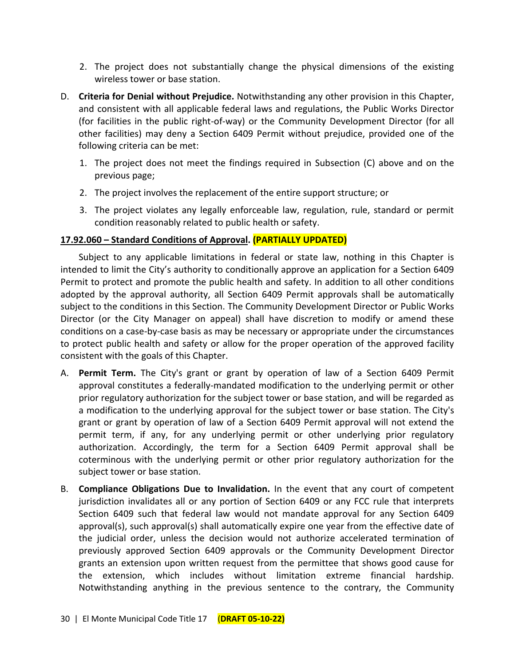- 2. The project does not substantially change the physical dimensions of the existing wireless tower or base station.
- D. **Criteria for Denial without Prejudice.** Notwithstanding any other provision in this Chapter, and consistent with all applicable federal laws and regulations, the Public Works Director (for facilities in the public right-of-way) or the Community Development Director (for all other facilities) may deny a Section 6409 Permit without prejudice, provided one of the following criteria can be met:
	- 1. The project does not meet the findings required in Subsection (C) above and on the previous page;
	- 2. The project involves the replacement of the entire support structure; or
	- 3. The project violates any legally enforceable law, regulation, rule, standard or permit condition reasonably related to public health or safety.

# **17.92.060 – Standard Conditions of Approval. (PARTIALLY UPDATED)**

Subject to any applicable limitations in federal or state law, nothing in this Chapter is intended to limit the City's authority to conditionally approve an application for a Section 6409 Permit to protect and promote the public health and safety. In addition to all other conditions adopted by the approval authority, all Section 6409 Permit approvals shall be automatically subject to the conditions in this Section. The Community Development Director or Public Works Director (or the City Manager on appeal) shall have discretion to modify or amend these conditions on a case-by-case basis as may be necessary or appropriate under the circumstances to protect public health and safety or allow for the proper operation of the approved facility consistent with the goals of this Chapter.

- A. **Permit Term.** The City's grant or grant by operation of law of a Section 6409 Permit approval constitutes a federally-mandated modification to the underlying permit or other prior regulatory authorization for the subject tower or base station, and will be regarded as a modification to the underlying approval for the subject tower or base station. The City's grant or grant by operation of law of a Section 6409 Permit approval will not extend the permit term, if any, for any underlying permit or other underlying prior regulatory authorization. Accordingly, the term for a Section 6409 Permit approval shall be coterminous with the underlying permit or other prior regulatory authorization for the subject tower or base station.
- B. **Compliance Obligations Due to Invalidation.** In the event that any court of competent jurisdiction invalidates all or any portion of Section 6409 or any FCC rule that interprets Section 6409 such that federal law would not mandate approval for any Section 6409 approval(s), such approval(s) shall automatically expire one year from the effective date of the judicial order, unless the decision would not authorize accelerated termination of previously approved Section 6409 approvals or the Community Development Director grants an extension upon written request from the permittee that shows good cause for the extension, which includes without limitation extreme financial hardship. Notwithstanding anything in the previous sentence to the contrary, the Community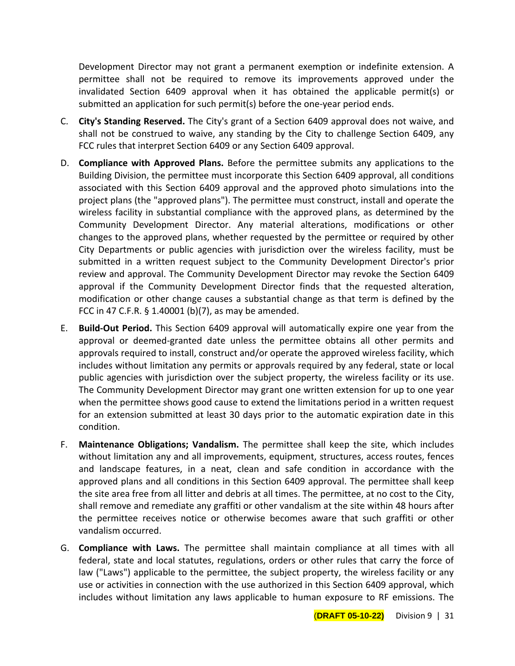Development Director may not grant a permanent exemption or indefinite extension. A permittee shall not be required to remove its improvements approved under the invalidated Section 6409 approval when it has obtained the applicable permit(s) or submitted an application for such permit(s) before the one-year period ends.

- C. **City's Standing Reserved.** The City's grant of a Section 6409 approval does not waive, and shall not be construed to waive, any standing by the City to challenge Section 6409, any FCC rules that interpret Section 6409 or any Section 6409 approval.
- D. **Compliance with Approved Plans.** Before the permittee submits any applications to the Building Division, the permittee must incorporate this Section 6409 approval, all conditions associated with this Section 6409 approval and the approved photo simulations into the project plans (the "approved plans"). The permittee must construct, install and operate the wireless facility in substantial compliance with the approved plans, as determined by the Community Development Director. Any material alterations, modifications or other changes to the approved plans, whether requested by the permittee or required by other City Departments or public agencies with jurisdiction over the wireless facility, must be submitted in a written request subject to the Community Development Director's prior review and approval. The Community Development Director may revoke the Section 6409 approval if the Community Development Director finds that the requested alteration, modification or other change causes a substantial change as that term is defined by the FCC in 47 C.F.R. § 1.40001 (b)(7), as may be amended.
- E. **Build-Out Period.** This Section 6409 approval will automatically expire one year from the approval or deemed-granted date unless the permittee obtains all other permits and approvals required to install, construct and/or operate the approved wireless facility, which includes without limitation any permits or approvals required by any federal, state or local public agencies with jurisdiction over the subject property, the wireless facility or its use. The Community Development Director may grant one written extension for up to one year when the permittee shows good cause to extend the limitations period in a written request for an extension submitted at least 30 days prior to the automatic expiration date in this condition.
- F. **Maintenance Obligations; Vandalism.** The permittee shall keep the site, which includes without limitation any and all improvements, equipment, structures, access routes, fences and landscape features, in a neat, clean and safe condition in accordance with the approved plans and all conditions in this Section 6409 approval. The permittee shall keep the site area free from all litter and debris at all times. The permittee, at no cost to the City, shall remove and remediate any graffiti or other vandalism at the site within 48 hours after the permittee receives notice or otherwise becomes aware that such graffiti or other vandalism occurred.
- G. **Compliance with Laws.** The permittee shall maintain compliance at all times with all federal, state and local statutes, regulations, orders or other rules that carry the force of law ("Laws") applicable to the permittee, the subject property, the wireless facility or any use or activities in connection with the use authorized in this Section 6409 approval, which includes without limitation any laws applicable to human exposure to RF emissions. The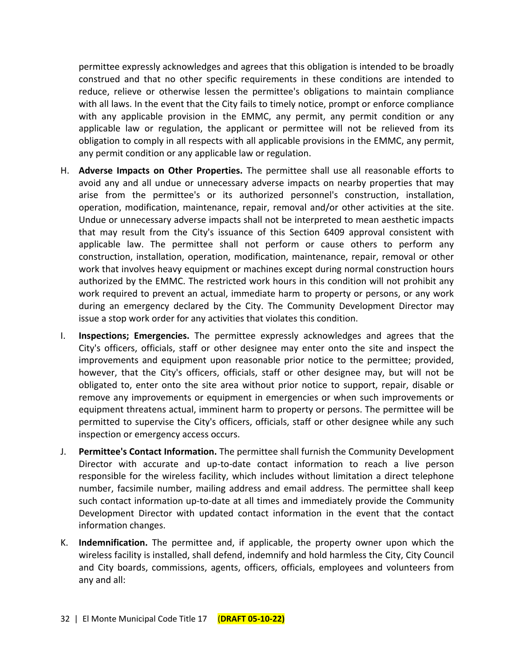permittee expressly acknowledges and agrees that this obligation is intended to be broadly construed and that no other specific requirements in these conditions are intended to reduce, relieve or otherwise lessen the permittee's obligations to maintain compliance with all laws. In the event that the City fails to timely notice, prompt or enforce compliance with any applicable provision in the EMMC, any permit, any permit condition or any applicable law or regulation, the applicant or permittee will not be relieved from its obligation to comply in all respects with all applicable provisions in the EMMC, any permit, any permit condition or any applicable law or regulation.

- H. **Adverse Impacts on Other Properties.** The permittee shall use all reasonable efforts to avoid any and all undue or unnecessary adverse impacts on nearby properties that may arise from the permittee's or its authorized personnel's construction, installation, operation, modification, maintenance, repair, removal and/or other activities at the site. Undue or unnecessary adverse impacts shall not be interpreted to mean aesthetic impacts that may result from the City's issuance of this Section 6409 approval consistent with applicable law. The permittee shall not perform or cause others to perform any construction, installation, operation, modification, maintenance, repair, removal or other work that involves heavy equipment or machines except during normal construction hours authorized by the EMMC. The restricted work hours in this condition will not prohibit any work required to prevent an actual, immediate harm to property or persons, or any work during an emergency declared by the City. The Community Development Director may issue a stop work order for any activities that violates this condition.
- I. **Inspections; Emergencies.** The permittee expressly acknowledges and agrees that the City's officers, officials, staff or other designee may enter onto the site and inspect the improvements and equipment upon reasonable prior notice to the permittee; provided, however, that the City's officers, officials, staff or other designee may, but will not be obligated to, enter onto the site area without prior notice to support, repair, disable or remove any improvements or equipment in emergencies or when such improvements or equipment threatens actual, imminent harm to property or persons. The permittee will be permitted to supervise the City's officers, officials, staff or other designee while any such inspection or emergency access occurs.
- J. **Permittee's Contact Information.** The permittee shall furnish the Community Development Director with accurate and up-to-date contact information to reach a live person responsible for the wireless facility, which includes without limitation a direct telephone number, facsimile number, mailing address and email address. The permittee shall keep such contact information up-to-date at all times and immediately provide the Community Development Director with updated contact information in the event that the contact information changes.
- K. **Indemnification.** The permittee and, if applicable, the property owner upon which the wireless facility is installed, shall defend, indemnify and hold harmless the City, City Council and City boards, commissions, agents, officers, officials, employees and volunteers from any and all: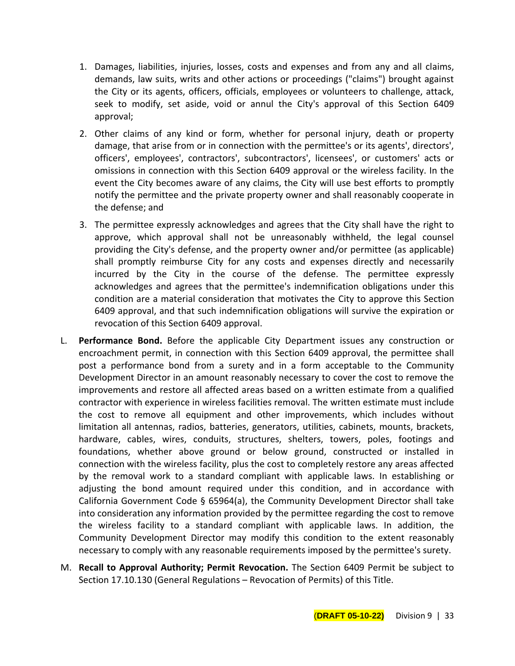- 1. Damages, liabilities, injuries, losses, costs and expenses and from any and all claims, demands, law suits, writs and other actions or proceedings ("claims") brought against the City or its agents, officers, officials, employees or volunteers to challenge, attack, seek to modify, set aside, void or annul the City's approval of this Section 6409 approval;
- 2. Other claims of any kind or form, whether for personal injury, death or property damage, that arise from or in connection with the permittee's or its agents', directors', officers', employees', contractors', subcontractors', licensees', or customers' acts or omissions in connection with this Section 6409 approval or the wireless facility. In the event the City becomes aware of any claims, the City will use best efforts to promptly notify the permittee and the private property owner and shall reasonably cooperate in the defense; and
- 3. The permittee expressly acknowledges and agrees that the City shall have the right to approve, which approval shall not be unreasonably withheld, the legal counsel providing the City's defense, and the property owner and/or permittee (as applicable) shall promptly reimburse City for any costs and expenses directly and necessarily incurred by the City in the course of the defense. The permittee expressly acknowledges and agrees that the permittee's indemnification obligations under this condition are a material consideration that motivates the City to approve this Section 6409 approval, and that such indemnification obligations will survive the expiration or revocation of this Section 6409 approval.
- L. **Performance Bond.** Before the applicable City Department issues any construction or encroachment permit, in connection with this Section 6409 approval, the permittee shall post a performance bond from a surety and in a form acceptable to the Community Development Director in an amount reasonably necessary to cover the cost to remove the improvements and restore all affected areas based on a written estimate from a qualified contractor with experience in wireless facilities removal. The written estimate must include the cost to remove all equipment and other improvements, which includes without limitation all antennas, radios, batteries, generators, utilities, cabinets, mounts, brackets, hardware, cables, wires, conduits, structures, shelters, towers, poles, footings and foundations, whether above ground or below ground, constructed or installed in connection with the wireless facility, plus the cost to completely restore any areas affected by the removal work to a standard compliant with applicable laws. In establishing or adjusting the bond amount required under this condition, and in accordance with California Government Code § 65964(a), the Community Development Director shall take into consideration any information provided by the permittee regarding the cost to remove the wireless facility to a standard compliant with applicable laws. In addition, the Community Development Director may modify this condition to the extent reasonably necessary to comply with any reasonable requirements imposed by the permittee's surety.
- M. **Recall to Approval Authority; Permit Revocation.** The Section 6409 Permit be subject to Section 17.10.130 (General Regulations – Revocation of Permits) of this Title.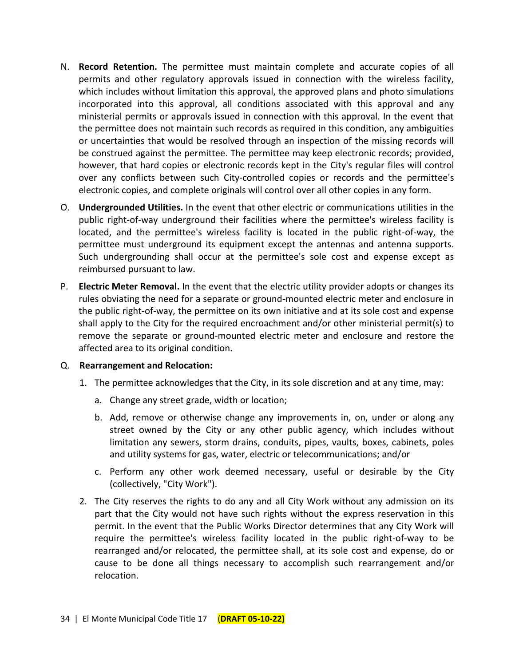- N. **Record Retention.** The permittee must maintain complete and accurate copies of all permits and other regulatory approvals issued in connection with the wireless facility, which includes without limitation this approval, the approved plans and photo simulations incorporated into this approval, all conditions associated with this approval and any ministerial permits or approvals issued in connection with this approval. In the event that the permittee does not maintain such records as required in this condition, any ambiguities or uncertainties that would be resolved through an inspection of the missing records will be construed against the permittee. The permittee may keep electronic records; provided, however, that hard copies or electronic records kept in the City's regular files will control over any conflicts between such City-controlled copies or records and the permittee's electronic copies, and complete originals will control over all other copies in any form.
- O. **Undergrounded Utilities.** In the event that other electric or communications utilities in the public right-of-way underground their facilities where the permittee's wireless facility is located, and the permittee's wireless facility is located in the public right-of-way, the permittee must underground its equipment except the antennas and antenna supports. Such undergrounding shall occur at the permittee's sole cost and expense except as reimbursed pursuant to law.
- P. **Electric Meter Removal.** In the event that the electric utility provider adopts or changes its rules obviating the need for a separate or ground-mounted electric meter and enclosure in the public right-of-way, the permittee on its own initiative and at its sole cost and expense shall apply to the City for the required encroachment and/or other ministerial permit(s) to remove the separate or ground-mounted electric meter and enclosure and restore the affected area to its original condition.

## Q. **Rearrangement and Relocation:**

- 1. The permittee acknowledges that the City, in its sole discretion and at any time, may:
	- a. Change any street grade, width or location;
	- b. Add, remove or otherwise change any improvements in, on, under or along any street owned by the City or any other public agency, which includes without limitation any sewers, storm drains, conduits, pipes, vaults, boxes, cabinets, poles and utility systems for gas, water, electric or telecommunications; and/or
	- c. Perform any other work deemed necessary, useful or desirable by the City (collectively, "City Work").
- 2. The City reserves the rights to do any and all City Work without any admission on its part that the City would not have such rights without the express reservation in this permit. In the event that the Public Works Director determines that any City Work will require the permittee's wireless facility located in the public right-of-way to be rearranged and/or relocated, the permittee shall, at its sole cost and expense, do or cause to be done all things necessary to accomplish such rearrangement and/or relocation.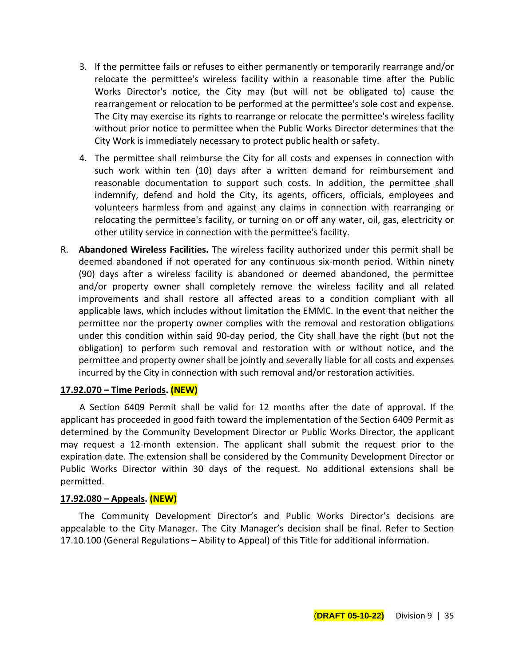- 3. If the permittee fails or refuses to either permanently or temporarily rearrange and/or relocate the permittee's wireless facility within a reasonable time after the Public Works Director's notice, the City may (but will not be obligated to) cause the rearrangement or relocation to be performed at the permittee's sole cost and expense. The City may exercise its rights to rearrange or relocate the permittee's wireless facility without prior notice to permittee when the Public Works Director determines that the City Work is immediately necessary to protect public health or safety.
- 4. The permittee shall reimburse the City for all costs and expenses in connection with such work within ten (10) days after a written demand for reimbursement and reasonable documentation to support such costs. In addition, the permittee shall indemnify, defend and hold the City, its agents, officers, officials, employees and volunteers harmless from and against any claims in connection with rearranging or relocating the permittee's facility, or turning on or off any water, oil, gas, electricity or other utility service in connection with the permittee's facility.
- R. **Abandoned Wireless Facilities.** The wireless facility authorized under this permit shall be deemed abandoned if not operated for any continuous six-month period. Within ninety (90) days after a wireless facility is abandoned or deemed abandoned, the permittee and/or property owner shall completely remove the wireless facility and all related improvements and shall restore all affected areas to a condition compliant with all applicable laws, which includes without limitation the EMMC. In the event that neither the permittee nor the property owner complies with the removal and restoration obligations under this condition within said 90-day period, the City shall have the right (but not the obligation) to perform such removal and restoration with or without notice, and the permittee and property owner shall be jointly and severally liable for all costs and expenses incurred by the City in connection with such removal and/or restoration activities.

## **17.92.070 – Time Periods. (NEW)**

A Section 6409 Permit shall be valid for 12 months after the date of approval. If the applicant has proceeded in good faith toward the implementation of the Section 6409 Permit as determined by the Community Development Director or Public Works Director, the applicant may request a 12-month extension. The applicant shall submit the request prior to the expiration date. The extension shall be considered by the Community Development Director or Public Works Director within 30 days of the request. No additional extensions shall be permitted.

## **17.92.080 – Appeals. (NEW)**

The Community Development Director's and Public Works Director's decisions are appealable to the City Manager. The City Manager's decision shall be final. Refer to Section 17.10.100 (General Regulations – Ability to Appeal) of this Title for additional information.